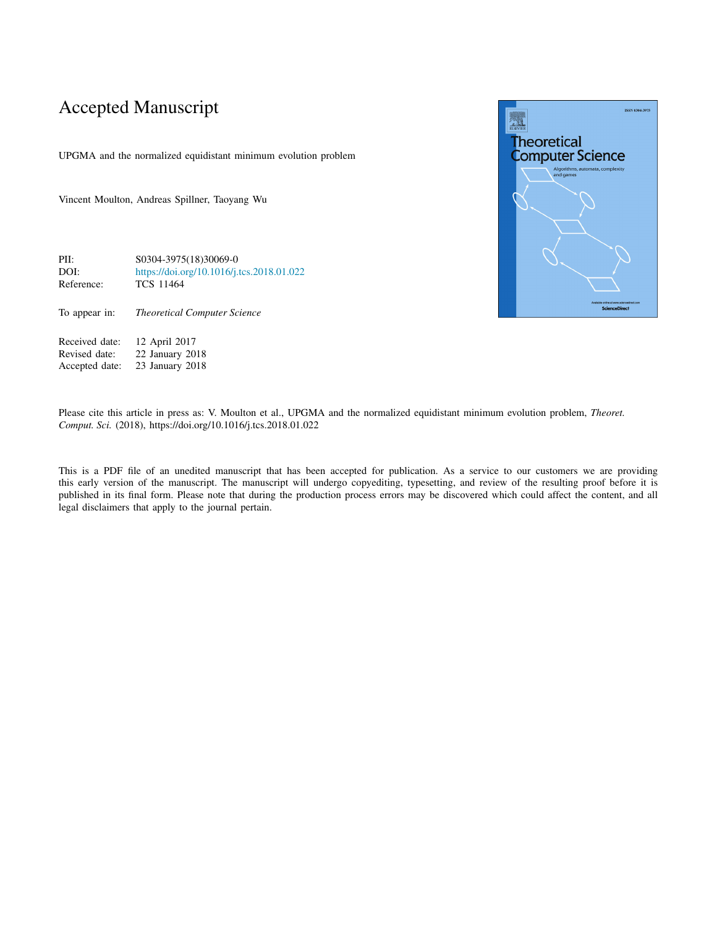## Accepted Manuscript

UPGMA and the normalized equidistant minimum evolution problem

Vincent Moulton, Andreas Spillner, Taoyang Wu

PII: S0304-3975(18)30069-0 DOI: <https://doi.org/10.1016/j.tcs.2018.01.022> Reference: TCS 11464

To appear in: *Theoretical Computer Science*

Received date: 12 April 2017<br>Revised date: 22 January 20 Revised date: 22 January 2018<br>Accepted date: 23 January 2018 23 January 2018



Please cite this article in press as: V. Moulton et al., UPGMA and the normalized equidistant minimum evolution problem, *Theoret. Comput. Sci.* (2018), https://doi.org/10.1016/j.tcs.2018.01.022

This is a PDF file of an unedited manuscript that has been accepted for publication. As a service to our customers we are providing this early version of the manuscript. The manuscript will undergo copyediting, typesetting, and review of the resulting proof before it is published in its final form. Please note that during the production process errors may be discovered which could affect the content, and all legal disclaimers that apply to the journal pertain.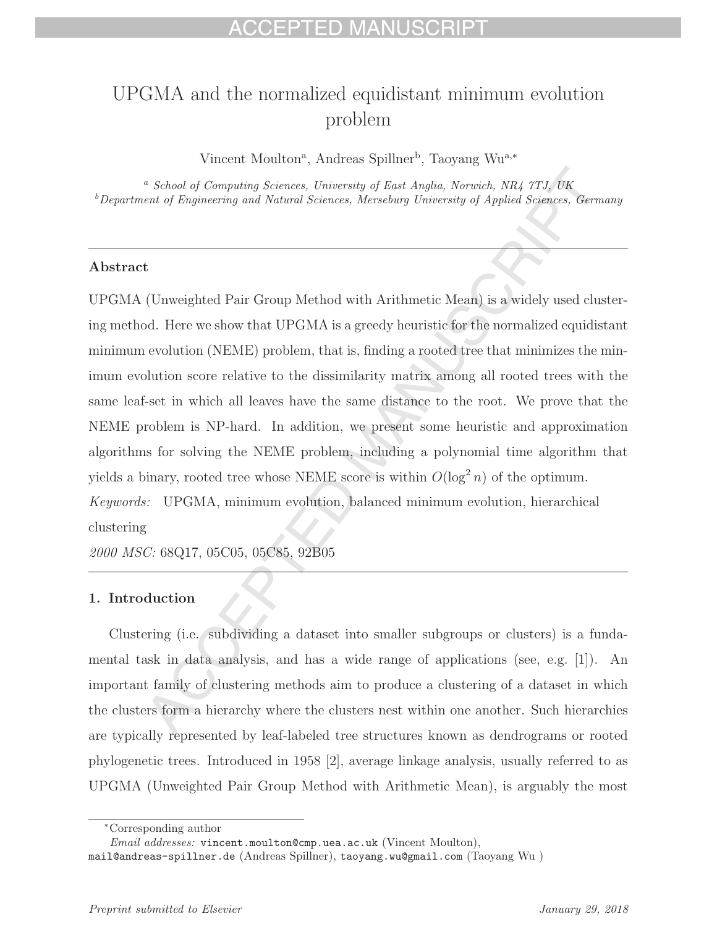# UPGMA and the normalized equidistant minimum evolution problem

Vincent Moulton<sup>a</sup>, Andreas Spillner<sup>b</sup>, Taoyang Wu<sup>a,∗</sup>

<sup>a</sup> School of Computing Sciences, University of East Anglia, Norwich, NR4 7TJ, UK <sup>b</sup>Department of Engineering and Natural Sciences, Merseburg University of Applied Sciences, Germany

### **Abstract**

UPGMA (Unweighted Pair Group Method with Arithmetic Mean) is a widely used clustering method. Here we show that UPGMA is a greedy heuristic for the normalized equidistant minimum evolution (NEME) problem, that is, finding a rooted tree that minimizes the minimum evolution score relative to the dissimilarity matrix among all rooted trees with the same leaf-set in which all leaves have the same distance to the root. We prove that the NEME problem is NP-hard. In addition, we present some heuristic and approximation algorithms for solving the NEME problem, including a polynomial time algorithm that yields a binary, rooted tree whose NEME score is within  $O(\log^2 n)$  of the optimum. Keywords: UPGMA, minimum evolution, balanced minimum evolution, hierarchical

clustering

2000 MSC: 68Q17, 05C05, 05C85, 92B05

## **1. Introduction**

Clustering (i.e. subdividing a dataset into smaller subgroups or clusters) is a fundamental task in data analysis, and has a wide range of applications (see, e.g. [1]). An important family of clustering methods aim to produce a clustering of a dataset in which the clusters form a hierarchy where the clusters nest within one another. Such hierarchies are typically represented by leaf-labeled tree structures known as dendrograms or rooted phylogenetic trees. Introduced in 1958 [2], average linkage analysis, usually referred to as UPGMA (Unweighted Pair Group Method with Arithmetic Mean), is arguably the most

<sup>∗</sup>Corresponding author

Email addresses: vincent.moulton@cmp.uea.ac.uk (Vincent Moulton),

mail@andreas-spillner.de (Andreas Spillner), taoyang.wu@gmail.com (Taoyang Wu )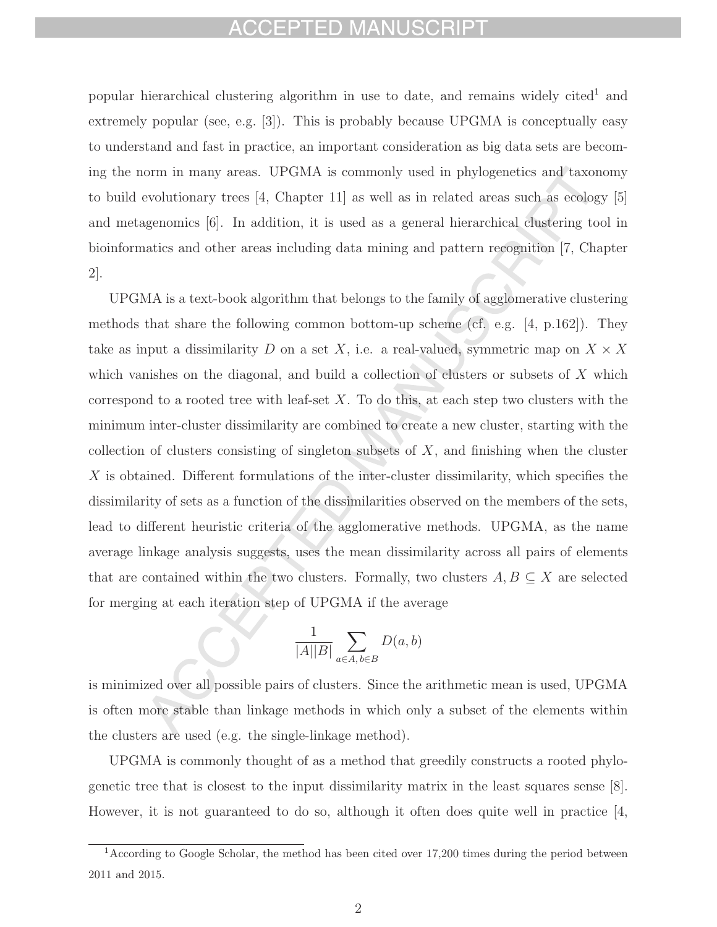## CEPTED MANUSCI

popular hierarchical clustering algorithm in use to date, and remains widely cited<sup>1</sup> and extremely popular (see, e.g. [3]). This is probably because UPGMA is conceptually easy to understand and fast in practice, an important consideration as big data sets are becoming the norm in many areas. UPGMA is commonly used in phylogenetics and taxonomy to build evolutionary trees  $\left[4, \text{ Chapter 11}\right]$  as well as in related areas such as ecology  $\left[5\right]$ and metagenomics [6]. In addition, it is used as a general hierarchical clustering tool in bioinformatics and other areas including data mining and pattern recognition [7, Chapter 2].

UPGMA is a text-book algorithm that belongs to the family of agglomerative clustering methods that share the following common bottom-up scheme (cf. e.g. [4, p.162]). They take as input a dissimilarity D on a set X, i.e. a real-valued, symmetric map on  $X \times X$ which vanishes on the diagonal, and build a collection of clusters or subsets of X which correspond to a rooted tree with leaf-set  $X$ . To do this, at each step two clusters with the minimum inter-cluster dissimilarity are combined to create a new cluster, starting with the collection of clusters consisting of singleton subsets of  $X$ , and finishing when the cluster  $X$  is obtained. Different formulations of the inter-cluster dissimilarity, which specifies the dissimilarity of sets as a function of the dissimilarities observed on the members of the sets, lead to different heuristic criteria of the agglomerative methods. UPGMA, as the name average linkage analysis suggests, uses the mean dissimilarity across all pairs of elements that are contained within the two clusters. Formally, two clusters  $A, B \subseteq X$  are selected for merging at each iteration step of UPGMA if the average

$$
\frac{1}{|A||B|} \sum_{a \in A, b \in B} D(a, b)
$$

is minimized over all possible pairs of clusters. Since the arithmetic mean is used, UPGMA is often more stable than linkage methods in which only a subset of the elements within the clusters are used (e.g. the single-linkage method).

UPGMA is commonly thought of as a method that greedily constructs a rooted phylogenetic tree that is closest to the input dissimilarity matrix in the least squares sense [8]. However, it is not guaranteed to do so, although it often does quite well in practice [4,

<sup>&</sup>lt;sup>1</sup> According to Google Scholar, the method has been cited over 17,200 times during the period between 2011 and 2015.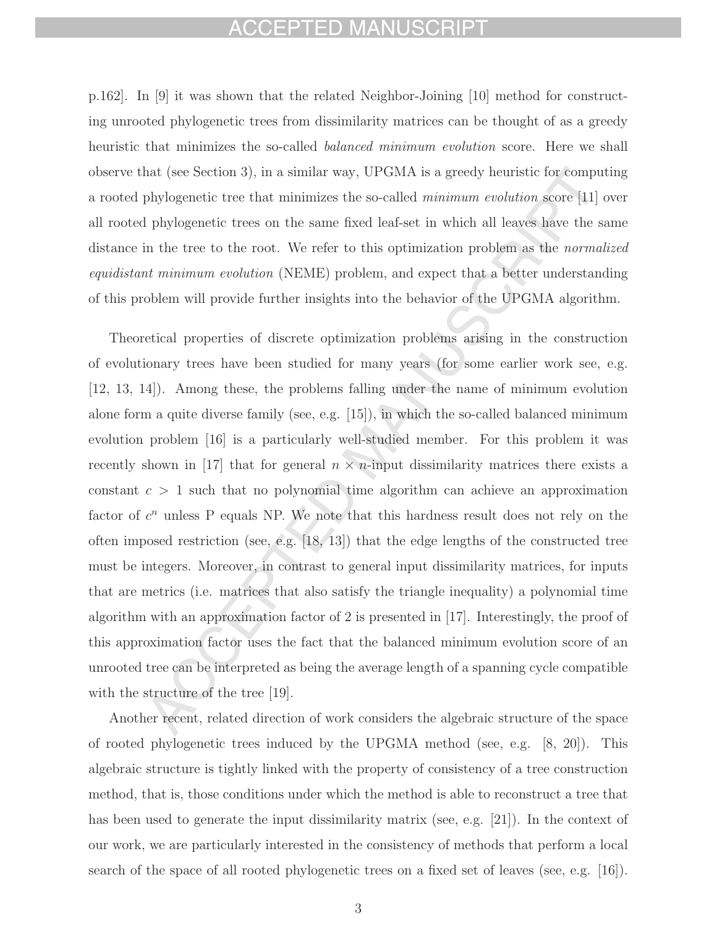## CEPTED MANUSCRIPT

p.162]. In [9] it was shown that the related Neighbor-Joining [10] method for constructing unrooted phylogenetic trees from dissimilarity matrices can be thought of as a greedy heuristic that minimizes the so-called *balanced minimum evolution* score. Here we shall observe that (see Section 3), in a similar way, UPGMA is a greedy heuristic for computing a rooted phylogenetic tree that minimizes the so-called minimum evolution score [11] over all rooted phylogenetic trees on the same fixed leaf-set in which all leaves have the same distance in the tree to the root. We refer to this optimization problem as the normalized equidistant minimum evolution (NEME) problem, and expect that a better understanding of this problem will provide further insights into the behavior of the UPGMA algorithm.

Theoretical properties of discrete optimization problems arising in the construction of evolutionary trees have been studied for many years (for some earlier work see, e.g. [12, 13, 14]). Among these, the problems falling under the name of minimum evolution alone form a quite diverse family (see, e.g. [15]), in which the so-called balanced minimum evolution problem [16] is a particularly well-studied member. For this problem it was recently shown in [17] that for general  $n \times n$ -input dissimilarity matrices there exists a constant  $c > 1$  such that no polynomial time algorithm can achieve an approximation factor of  $c^n$  unless P equals NP. We note that this hardness result does not rely on the often imposed restriction (see, e.g.  $[18, 13]$ ) that the edge lengths of the constructed tree must be integers. Moreover, in contrast to general input dissimilarity matrices, for inputs that are metrics (i.e. matrices that also satisfy the triangle inequality) a polynomial time algorithm with an approximation factor of 2 is presented in [17]. Interestingly, the proof of this approximation factor uses the fact that the balanced minimum evolution score of an unrooted tree can be interpreted as being the average length of a spanning cycle compatible with the structure of the tree [19].

Another recent, related direction of work considers the algebraic structure of the space of rooted phylogenetic trees induced by the UPGMA method (see, e.g. [8, 20]). This algebraic structure is tightly linked with the property of consistency of a tree construction method, that is, those conditions under which the method is able to reconstruct a tree that has been used to generate the input dissimilarity matrix (see, e.g. [21]). In the context of our work, we are particularly interested in the consistency of methods that perform a local search of the space of all rooted phylogenetic trees on a fixed set of leaves (see, e.g. [16]).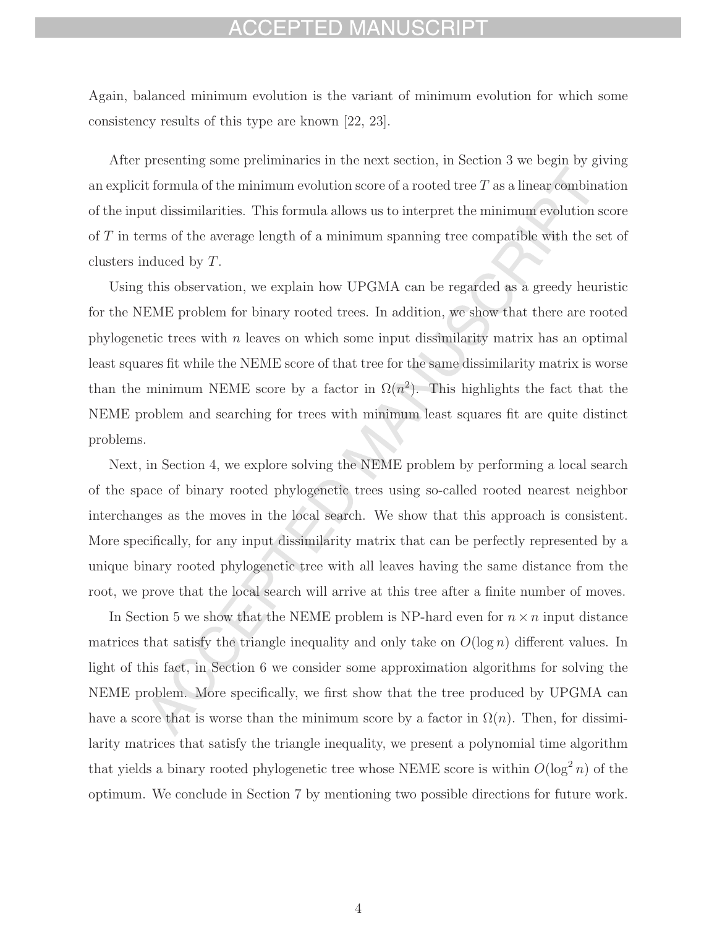## FPTED MANUSCRIPT

Again, balanced minimum evolution is the variant of minimum evolution for which some consistency results of this type are known [22, 23].

After presenting some preliminaries in the next section, in Section 3 we begin by giving an explicit formula of the minimum evolution score of a rooted tree  $T$  as a linear combination of the input dissimilarities. This formula allows us to interpret the minimum evolution score of T in terms of the average length of a minimum spanning tree compatible with the set of clusters induced by T.

Using this observation, we explain how UPGMA can be regarded as a greedy heuristic for the NEME problem for binary rooted trees. In addition, we show that there are rooted phylogenetic trees with  $n$  leaves on which some input dissimilarity matrix has an optimal least squares fit while the NEME score of that tree for the same dissimilarity matrix is worse than the minimum NEME score by a factor in  $\Omega(n^2)$ . This highlights the fact that the NEME problem and searching for trees with minimum least squares fit are quite distinct problems.

Next, in Section 4, we explore solving the NEME problem by performing a local search of the space of binary rooted phylogenetic trees using so-called rooted nearest neighbor interchanges as the moves in the local search. We show that this approach is consistent. More specifically, for any input dissimilarity matrix that can be perfectly represented by a unique binary rooted phylogenetic tree with all leaves having the same distance from the root, we prove that the local search will arrive at this tree after a finite number of moves.

In Section 5 we show that the NEME problem is NP-hard even for  $n \times n$  input distance matrices that satisfy the triangle inequality and only take on  $O(\log n)$  different values. In light of this fact, in Section 6 we consider some approximation algorithms for solving the NEME problem. More specifically, we first show that the tree produced by UPGMA can have a score that is worse than the minimum score by a factor in  $\Omega(n)$ . Then, for dissimilarity matrices that satisfy the triangle inequality, we present a polynomial time algorithm that yields a binary rooted phylogenetic tree whose NEME score is within  $O(\log^2 n)$  of the optimum. We conclude in Section 7 by mentioning two possible directions for future work.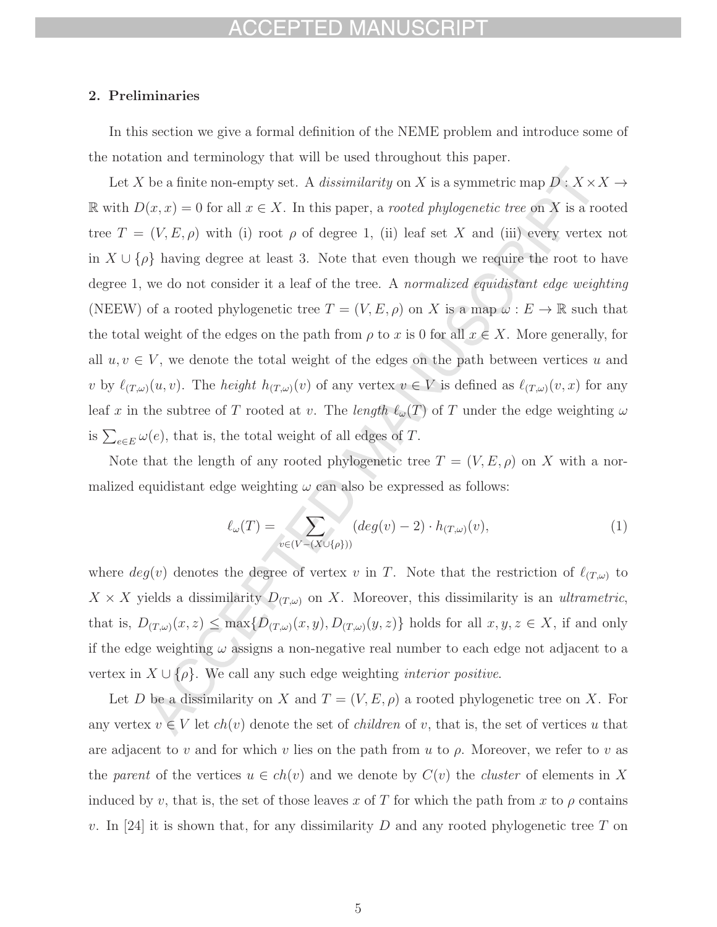## FPTED MA

### **2. Preliminaries**

In this section we give a formal definition of the NEME problem and introduce some of the notation and terminology that will be used throughout this paper.

Let X be a finite non-empty set. A *dissimilarity* on X is a symmetric map  $D: X \times X \rightarrow$ R with  $D(x, x) = 0$  for all  $x \in X$ . In this paper, a *rooted phylogenetic tree* on X is a rooted tree  $T = (V, E, \rho)$  with (i) root  $\rho$  of degree 1, (ii) leaf set X and (iii) every vertex not in  $X \cup {\rho}$  having degree at least 3. Note that even though we require the root to have degree 1, we do not consider it a leaf of the tree. A normalized equidistant edge weighting (NEEW) of a rooted phylogenetic tree  $T = (V, E, \rho)$  on X is a map  $\omega : E \to \mathbb{R}$  such that the total weight of the edges on the path from  $\rho$  to x is 0 for all  $x \in X$ . More generally, for all  $u, v \in V$ , we denote the total weight of the edges on the path between vertices u and v by  $\ell_{(T,\omega)}(u,v)$ . The *height*  $h_{(T,\omega)}(v)$  of any vertex  $v \in V$  is defined as  $\ell_{(T,\omega)}(v,x)$  for any leaf x in the subtree of T rooted at v. The length  $\ell_{\omega}(T)$  of T under the edge weighting  $\omega$ is  $\sum_{e \in E} \omega(e)$ , that is, the total weight of all edges of T.

Note that the length of any rooted phylogenetic tree  $T = (V, E, \rho)$  on X with a normalized equidistant edge weighting  $\omega$  can also be expressed as follows:

$$
\ell_{\omega}(T) = \sum_{v \in (V - (X \cup \{\rho\}))} (deg(v) - 2) \cdot h_{(T,\omega)}(v),\tag{1}
$$

where  $deg(v)$  denotes the degree of vertex v in T. Note that the restriction of  $\ell_{(T,\omega)}$  to  $X \times X$  yields a dissimilarity  $D_{(T,\omega)}$  on X. Moreover, this dissimilarity is an *ultrametric*, that is,  $D_{(T,\omega)}(x,z) \leq \max\{D_{(T,\omega)}(x,y), D_{(T,\omega)}(y,z)\}\$  holds for all  $x, y, z \in X$ , if and only if the edge weighting  $\omega$  assigns a non-negative real number to each edge not adjacent to a vertex in  $X \cup \{\rho\}$ . We call any such edge weighting *interior positive*.

Let D be a dissimilarity on X and  $T = (V, E, \rho)$  a rooted phylogenetic tree on X. For any vertex  $v \in V$  let  $ch(v)$  denote the set of *children* of v, that is, the set of vertices u that are adjacent to v and for which v lies on the path from u to  $\rho$ . Moreover, we refer to v as the parent of the vertices  $u \in ch(v)$  and we denote by  $C(v)$  the *cluster* of elements in X induced by v, that is, the set of those leaves x of T for which the path from x to  $\rho$  contains v. In [24] it is shown that, for any dissimilarity  $D$  and any rooted phylogenetic tree  $T$  on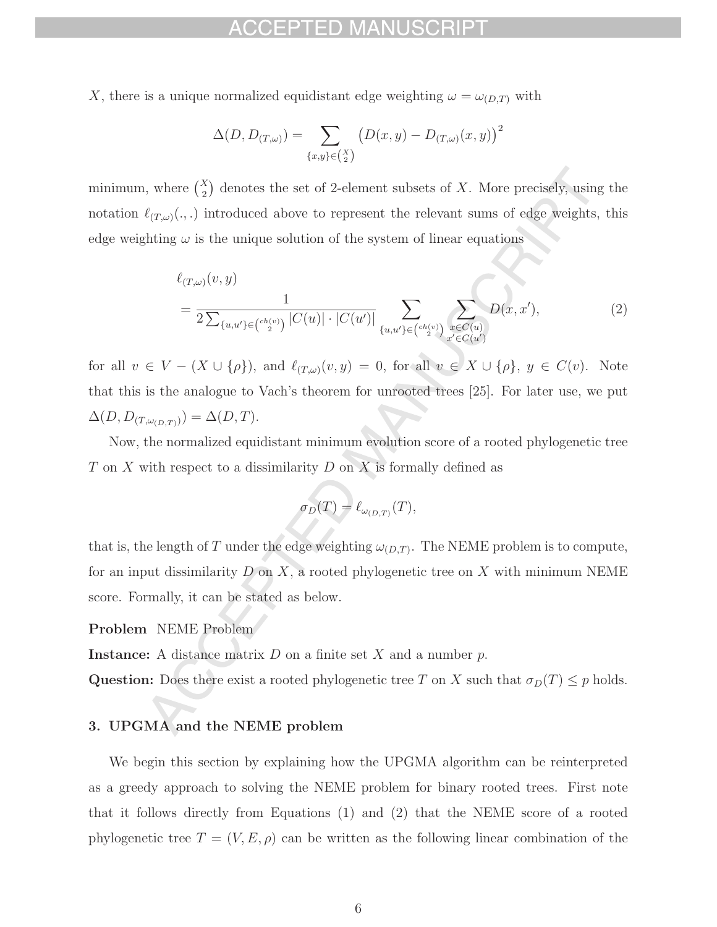X, there is a unique normalized equidistant edge weighting  $\omega = \omega_{(D,T)}$  with

$$
\Delta(D, D_{(T,\omega)}) = \sum_{\{x,y\} \in \binom{X}{2}} \left(D(x,y) - D_{(T,\omega)}(x,y)\right)^2
$$

minimum, where  $\binom{X}{2}$ ) denotes the set of 2-element subsets of  $X$ . More precisely, using the notation  $\ell_{(T,\omega)}(.,.)$  introduced above to represent the relevant sums of edge weights, this edge weighting  $\omega$  is the unique solution of the system of linear equations

$$
\ell_{(T,\omega)}(v,y) = \frac{1}{2\sum_{\{u,u'\}\in \binom{ch(v)}{2}} |C(u)| \cdot |C(u')|} \sum_{\{u,u'\}\in \binom{ch(v)}{2}} \sum_{\substack{x \in C(u) \\ x' \in C(u')}} D(x,x'), \tag{2}
$$

for all  $v \in V - (X \cup \{\rho\})$ , and  $\ell_{(T,\omega)}(v, y) = 0$ , for all  $v \in X \cup \{\rho\}$ ,  $y \in C(v)$ . Note that this is the analogue to Vach's theorem for unrooted trees [25]. For later use, we put  $\Delta(D, D_{(T,\omega_{(D,T)})}) = \Delta(D, T).$ 

Now, the normalized equidistant minimum evolution score of a rooted phylogenetic tree T on X with respect to a dissimilarity D on X is formally defined as

$$
\sigma_D(T) = \ell_{\omega_{(D,T)}}(T),
$$

that is, the length of T under the edge weighting  $\omega_{(D,T)}$ . The NEME problem is to compute, for an input dissimilarity  $D$  on  $X$ , a rooted phylogenetic tree on  $X$  with minimum NEME score. Formally, it can be stated as below.

**Problem** NEME Problem

**Instance:** A distance matrix  $D$  on a finite set  $X$  and a number  $p$ .

**Question:** Does there exist a rooted phylogenetic tree T on X such that  $\sigma_D(T) \leq p$  holds.

### **3. UPGMA and the NEME problem**

We begin this section by explaining how the UPGMA algorithm can be reinterpreted as a greedy approach to solving the NEME problem for binary rooted trees. First note that it follows directly from Equations (1) and (2) that the NEME score of a rooted phylogenetic tree  $T = (V, E, \rho)$  can be written as the following linear combination of the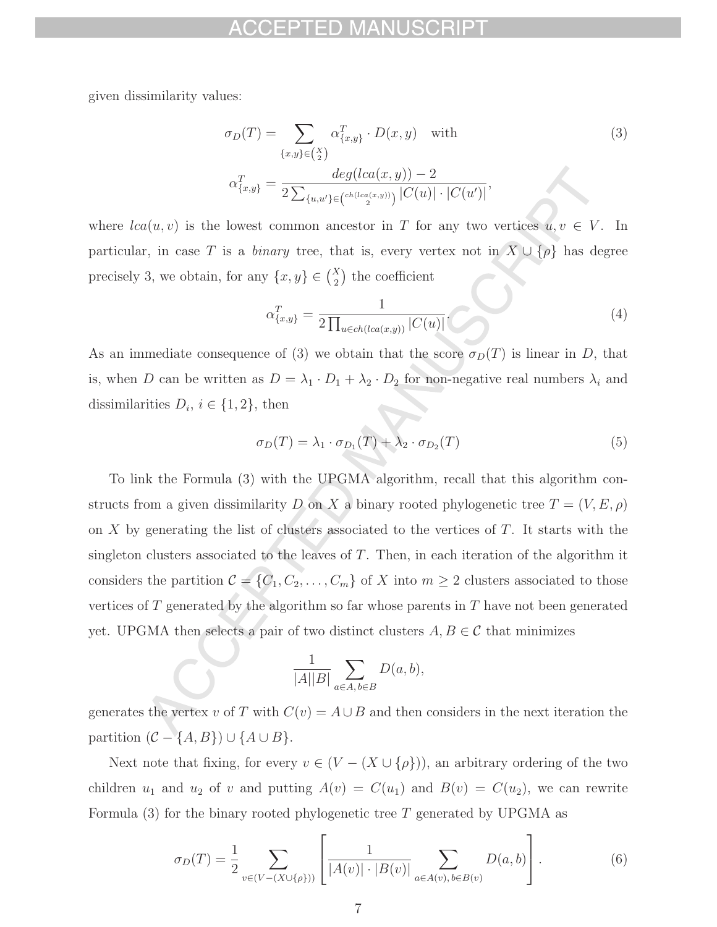given dissimilarity values:

$$
\sigma_D(T) = \sum_{\{x,y\} \in {X \choose 2}} \alpha_{\{x,y\}}^T \cdot D(x,y) \quad \text{with}
$$
\n
$$
\alpha_{\{x,y\}}^T = \frac{\deg(lca(x,y)) - 2}{2 \sum_{\{u,u'\} \in {c^{h(lca(x,y))} \choose 2}} |C(u)| \cdot |C(u')|},
$$
\n(3)

where  $lca(u, v)$  is the lowest common ancestor in T for any two vertices  $u, v \in V$ . In particular, in case T is a *binary* tree, that is, every vertex not in  $X \cup {\rho}$  has degree precisely 3, we obtain, for any  $\{x, y\} \in {X \choose 2}$ the coefficient

$$
\alpha_{\{x,y\}}^T = \frac{1}{2 \prod_{u \in ch(lca(x,y))} |C(u)|}.
$$
\n(4)

As an immediate consequence of (3) we obtain that the score  $\sigma_D(T)$  is linear in D, that is, when D can be written as  $D = \lambda_1 \cdot D_1 + \lambda_2 \cdot D_2$  for non-negative real numbers  $\lambda_i$  and dissimilarities  $D_i$ ,  $i \in \{1, 2\}$ , then

$$
\sigma_D(T) = \lambda_1 \cdot \sigma_{D_1}(T) + \lambda_2 \cdot \sigma_{D_2}(T) \tag{5}
$$

To link the Formula (3) with the UPGMA algorithm, recall that this algorithm constructs from a given dissimilarity  $D$  on  $X$  a binary rooted phylogenetic tree  $T=(V,E,\rho)$ on X by generating the list of clusters associated to the vertices of  $T$ . It starts with the singleton clusters associated to the leaves of  $T$ . Then, in each iteration of the algorithm it considers the partition  $C = \{C_1, C_2, \ldots, C_m\}$  of X into  $m \geq 2$  clusters associated to those vertices of  $T$  generated by the algorithm so far whose parents in  $T$  have not been generated yet. UPGMA then selects a pair of two distinct clusters  $A, B \in \mathcal{C}$  that minimizes

$$
\frac{1}{|A||B|} \sum_{a \in A, b \in B} D(a, b),
$$

generates the vertex v of T with  $C(v) = A \cup B$  and then considers in the next iteration the partition  $(C - \{A, B\}) \cup \{A \cup B\}.$ 

Next note that fixing, for every  $v \in (V - (X \cup \{\rho\}))$ , an arbitrary ordering of the two children  $u_1$  and  $u_2$  of v and putting  $A(v) = C(u_1)$  and  $B(v) = C(u_2)$ , we can rewrite Formula  $(3)$  for the binary rooted phylogenetic tree T generated by UPGMA as

$$
\sigma_D(T) = \frac{1}{2} \sum_{v \in (V - (X \cup \{\rho\}))} \left[ \frac{1}{|A(v)| \cdot |B(v)|} \sum_{a \in A(v), b \in B(v)} D(a, b) \right]. \tag{6}
$$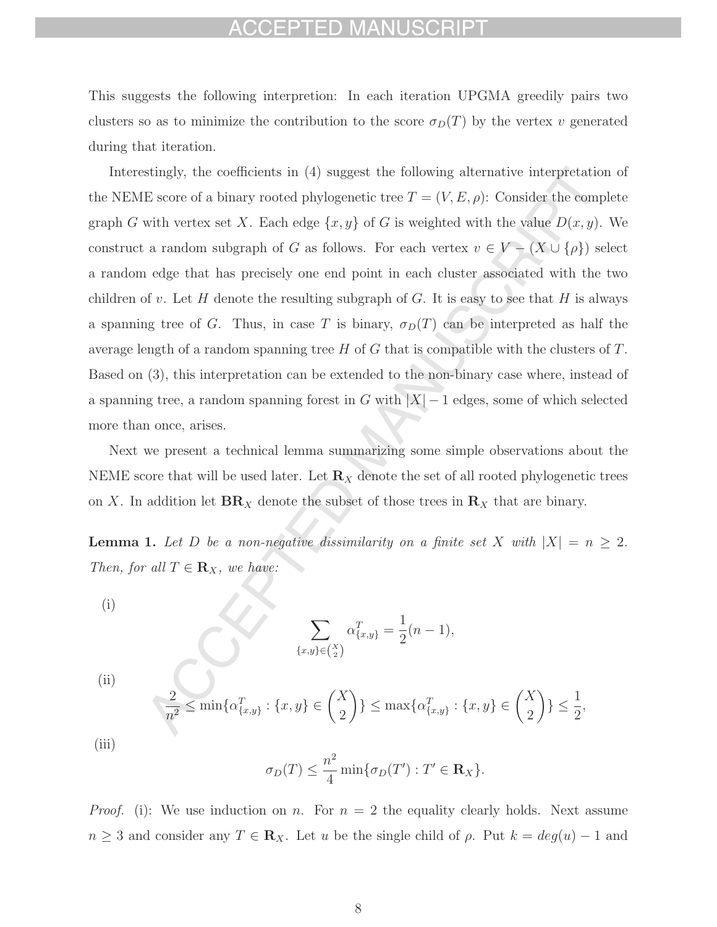## EPTED MAN

This suggests the following interpretion: In each iteration UPGMA greedily pairs two clusters so as to minimize the contribution to the score  $\sigma_D(T)$  by the vertex v generated during that iteration.

Interestingly, the coefficients in (4) suggest the following alternative interpretation of the NEME score of a binary rooted phylogenetic tree  $T = (V, E, \rho)$ : Consider the complete graph G with vertex set X. Each edge  $\{x, y\}$  of G is weighted with the value  $D(x, y)$ . We construct a random subgraph of G as follows. For each vertex  $v \in V - (X \cup \{\rho\})$  select a random edge that has precisely one end point in each cluster associated with the two children of v. Let H denote the resulting subgraph of G. It is easy to see that H is always a spanning tree of G. Thus, in case T is binary,  $\sigma_D(T)$  can be interpreted as half the average length of a random spanning tree H of G that is compatible with the clusters of T. Based on (3), this interpretation can be extended to the non-binary case where, instead of a spanning tree, a random spanning forest in G with  $|X| - 1$  edges, some of which selected more than once, arises.

Next we present a technical lemma summarizing some simple observations about the NEME score that will be used later. Let  $\mathbb{R}_X$  denote the set of all rooted phylogenetic trees on X. In addition let  $\mathbf{BR}_X$  denote the subset of those trees in  $\mathbf{R}_X$  that are binary.

**Lemma 1.** Let D be a non-negative dissimilarity on a finite set X with  $|X| = n \geq 2$ . Then, for all  $T \in \mathbf{R}_X$ , we have:

(i)

$$
\sum_{\{x,y\} \in {X \choose 2}} \alpha_{\{x,y\}}^T = \frac{1}{2}(n-1),
$$

(ii)

$$
\frac{2}{n^2} \le \min\{\alpha_{\{x,y\}}^T : \{x,y\} \in \binom{X}{2}\} \le \max\{\alpha_{\{x,y\}}^T : \{x,y\} \in \binom{X}{2}\} \le \frac{1}{2},
$$

(iii)

$$
\sigma_D(T) \le \frac{n^2}{4} \min\{\sigma_D(T'): T' \in \mathbf{R}_X\}.
$$

*Proof.* (i): We use induction on n. For  $n = 2$  the equality clearly holds. Next assume  $n \geq 3$  and consider any  $T \in \mathbf{R}_X$ . Let u be the single child of  $\rho$ . Put  $k = deg(u) - 1$  and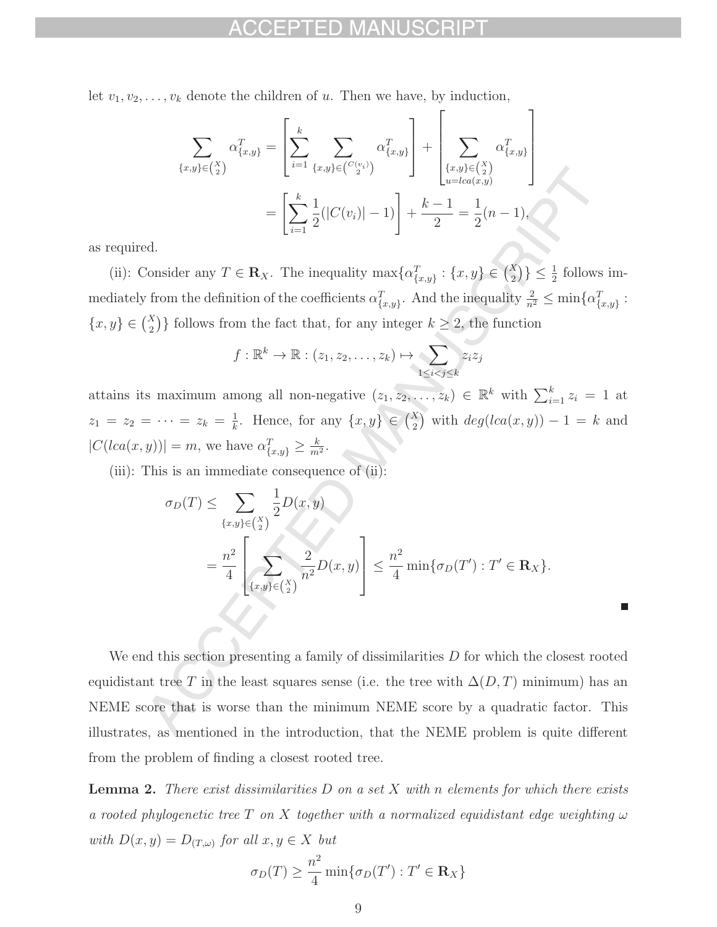let  $v_1, v_2, \ldots, v_k$  denote the children of u. Then we have, by induction,

$$
\sum_{\{x,y\}\in\binom{X}{2}} \alpha_{\{x,y\}}^T = \left[\sum_{i=1}^k \sum_{\{x,y\}\in\binom{C(v_i)}{2}} \alpha_{\{x,y\}}^T\right] + \left[\sum_{\{x,y\}\in\binom{X}{2}} \alpha_{\{x,y\}}^T\right]
$$

$$
= \left[\sum_{i=1}^k \frac{1}{2}(|C(v_i)| - 1)\right] + \frac{k-1}{2} = \frac{1}{2}(n-1),
$$

as required.

(ii): Consider any  $T \in \mathbf{R}_X$ . The inequality  $\max\{\alpha_{\{x,y\}}^T : \{x,y\} \in \binom{X}{2}\} \le \frac{1}{2}$  follows immediately from the definition of the coefficients  $\alpha_{\{x,y\}}^T$ . And the inequality  $\frac{2}{n^2} \le \min\{\alpha_{\{x,y\}}^T\}$ :  ${x, y} \in {X \choose 2}$ )} follows from the fact that, for any integer  $k \geq 2$ , the function

$$
f: \mathbb{R}^k \to \mathbb{R}: (z_1, z_2, \dots, z_k) \mapsto \sum_{1 \leq i < j \leq k} z_i z_j
$$

attains its maximum among all non-negative  $(z_1, z_2, ..., z_k) \in \mathbb{R}^k$  with  $\sum_{i=1}^k z_i = 1$  at  $z_1 = z_2 = \cdots = z_k = \frac{1}{k}$ . Hence, for any  $\{x, y\} \in \binom{X}{2}$  with  $deg(lca(x, y)) - 1 = k$  and  $|C(lca(x, y))| = m$ , we have  $\alpha_{\{x, y\}}^T \ge \frac{k}{m^2}$ .

(iii): This is an immediate consequence of  $(ii)$ :

$$
\sigma_D(T) \le \sum_{\{x,y\} \in \binom{X}{2}} \frac{1}{2} D(x,y)
$$
  
= 
$$
\frac{n^2}{4} \left[ \sum_{\{x,y\} \in \binom{X}{2}} \frac{2}{n^2} D(x,y) \right] \le \frac{n^2}{4} \min{\{\sigma_D(T') : T' \in \mathbf{R}_X\}}.
$$

We end this section presenting a family of dissimilarities  $D$  for which the closest rooted equidistant tree T in the least squares sense (i.e. the tree with  $\Delta(D,T)$  minimum) has an NEME score that is worse than the minimum NEME score by a quadratic factor. This illustrates, as mentioned in the introduction, that the NEME problem is quite different from the problem of finding a closest rooted tree.

**Lemma 2.** There exist dissimilarities D on a set X with n elements for which there exists a rooted phylogenetic tree T on X together with a normalized equidistant edge weighting  $\omega$ with  $D(x, y) = D_{(T, \omega)}$  for all  $x, y \in X$  but

$$
\sigma_D(T) \ge \frac{n^2}{4} \min\{\sigma_D(T') : T' \in \mathbf{R}_X\}
$$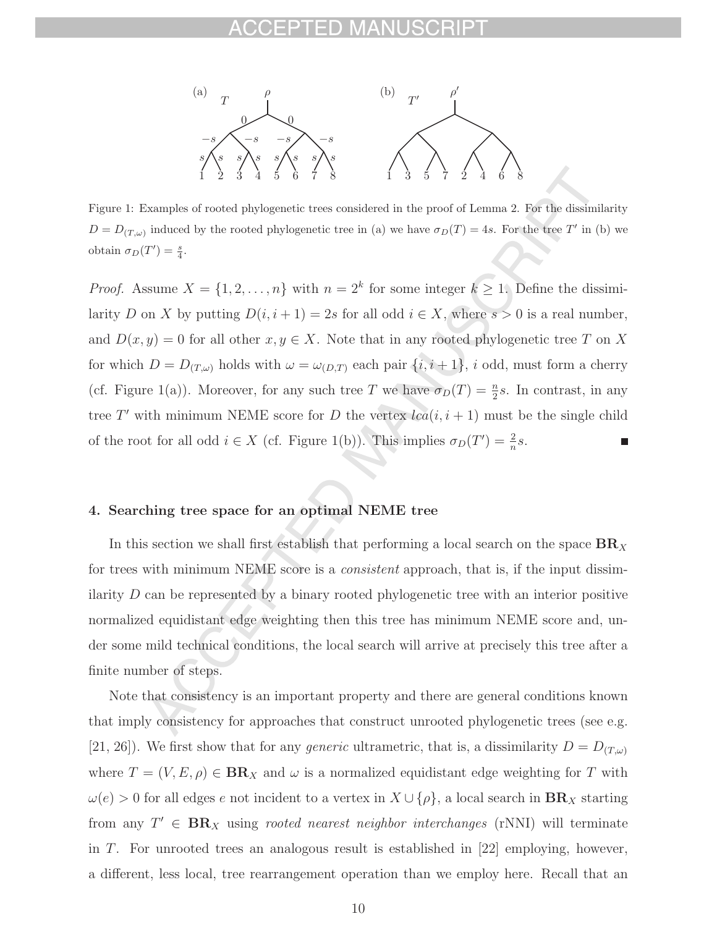

Figure 1: Examples of rooted phylogenetic trees considered in the proof of Lemma 2. For the dissimilarity  $D = D_{(T,\omega)}$  induced by the rooted phylogenetic tree in (a) we have  $\sigma_D(T)=4s$ . For the tree T' in (b) we obtain  $\sigma_D(T') = \frac{s}{4}$ .

*Proof.* Assume  $X = \{1, 2, ..., n\}$  with  $n = 2^k$  for some integer  $k \geq 1$ . Define the dissimilarity D on X by putting  $D(i, i + 1) = 2s$  for all odd  $i \in X$ , where  $s > 0$  is a real number, and  $D(x, y) = 0$  for all other  $x, y \in X$ . Note that in any rooted phylogenetic tree T on X for which  $D = D_{(T,\omega)}$  holds with  $\omega = \omega_{(D,T)}$  each pair  $\{i, i+1\}$ , i odd, must form a cherry (cf. Figure 1(a)). Moreover, for any such tree T we have  $\sigma_D(T) = \frac{n}{2} s$ . In contrast, in any tree T' with minimum NEME score for D the vertex  $lca(i, i + 1)$  must be the single child of the root for all odd  $i \in X$  (cf. Figure 1(b)). This implies  $\sigma_D(T') = \frac{2}{n}s$ .

### **4. Searching tree space for an optimal NEME tree**

In this section we shall first establish that performing a local search on the space  $BR_X$ for trees with minimum NEME score is a *consistent* approach, that is, if the input dissimilarity D can be represented by a binary rooted phylogenetic tree with an interior positive normalized equidistant edge weighting then this tree has minimum NEME score and, under some mild technical conditions, the local search will arrive at precisely this tree after a finite number of steps.

Note that consistency is an important property and there are general conditions known that imply consistency for approaches that construct unrooted phylogenetic trees (see e.g. [21, 26]). We first show that for any *generic* ultrametric, that is, a dissimilarity  $D = D(T,\omega)$ where  $T = (V, E, \rho) \in \mathbf{BR}_X$  and  $\omega$  is a normalized equidistant edge weighting for T with  $\omega(e) > 0$  for all edges e not incident to a vertex in  $X \cup \{\rho\}$ , a local search in  $\mathbf{BR}_X$  starting from any  $T' \in BR_X$  using *rooted nearest neighbor interchanges* (rNNI) will terminate in T. For unrooted trees an analogous result is established in  $[22]$  employing, however, a different, less local, tree rearrangement operation than we employ here. Recall that an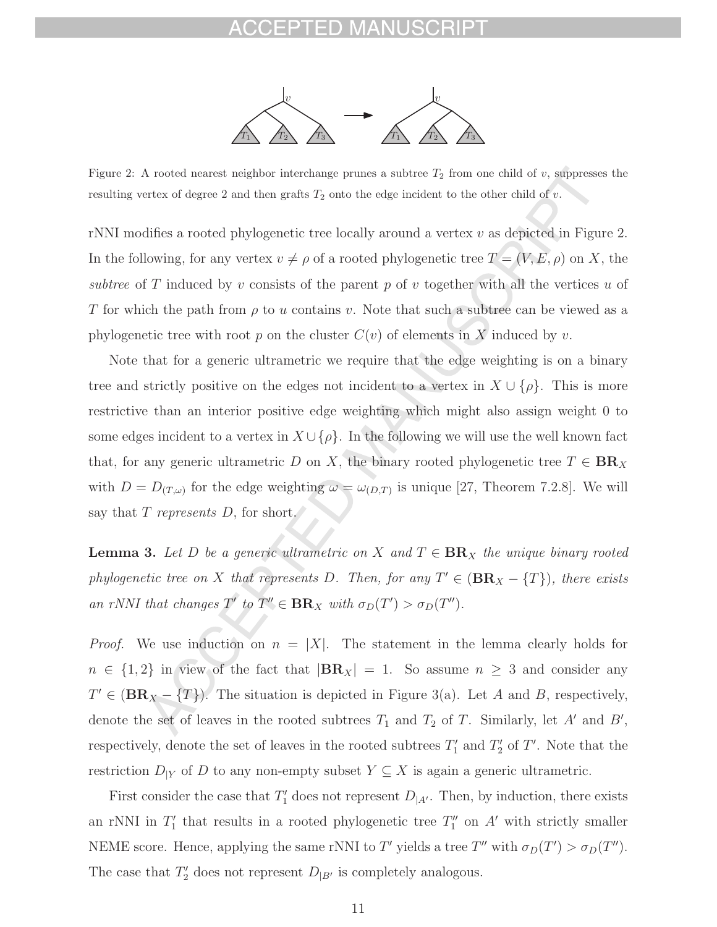

Figure 2: A rooted nearest neighbor interchange prunes a subtree  $T_2$  from one child of v, suppresses the resulting vertex of degree 2 and then grafts  $T_2$  onto the edge incident to the other child of v.

rNNI modifies a rooted phylogenetic tree locally around a vertex  $v$  as depicted in Figure 2. In the following, for any vertex  $v \neq \rho$  of a rooted phylogenetic tree  $T = (V, E, \rho)$  on X, the subtree of T induced by v consists of the parent p of v together with all the vertices u of T for which the path from  $\rho$  to u contains v. Note that such a subtree can be viewed as a phylogenetic tree with root p on the cluster  $C(v)$  of elements in X induced by v.

Note that for a generic ultrametric we require that the edge weighting is on a binary tree and strictly positive on the edges not incident to a vertex in  $X \cup {\rho}$ . This is more restrictive than an interior positive edge weighting which might also assign weight 0 to some edges incident to a vertex in  $X \cup \{\rho\}$ . In the following we will use the well known fact that, for any generic ultrametric D on X, the binary rooted phylogenetic tree  $T \in BR_X$ with  $D = D_{(T,\omega)}$  for the edge weighting  $\omega = \omega_{(D,T)}$  is unique [27, Theorem 7.2.8]. We will say that  $T$  represents  $D$ , for short.

**Lemma 3.** Let D be a generic ultrametric on X and  $T \in BR_X$  the unique binary rooted phylogenetic tree on X that represents D. Then, for any  $T' \in (BR_X - \{T\})$ , there exists an rNNI that changes  $T'$  to  $T'' \in BR_X$  with  $\sigma_D(T') > \sigma_D(T'')$ .

*Proof.* We use induction on  $n = |X|$ . The statement in the lemma clearly holds for  $n \in \{1,2\}$  in view of the fact that  $|\mathbf{BR}_X| = 1$ . So assume  $n \geq 3$  and consider any  $T' \in (\mathbf{BR}_X - \{T\})$ . The situation is depicted in Figure 3(a). Let A and B, respectively, denote the set of leaves in the rooted subtrees  $T_1$  and  $T_2$  of T. Similarly, let A' and B', respectively, denote the set of leaves in the rooted subtrees  $T'_1$  and  $T'_2$  of T'. Note that the restriction  $D_{|Y}$  of D to any non-empty subset  $Y \subseteq X$  is again a generic ultrametric.

First consider the case that  $T'_1$  does not represent  $D_{|A'}$ . Then, by induction, there exists an rNNI in  $T_1'$  that results in a rooted phylogenetic tree  $T_1''$  on A' with strictly smaller NEME score. Hence, applying the same rNNI to T' yields a tree T'' with  $\sigma_D(T') > \sigma_D(T'')$ . The case that  $T_2'$  does not represent  $D_{|B'}$  is completely analogous.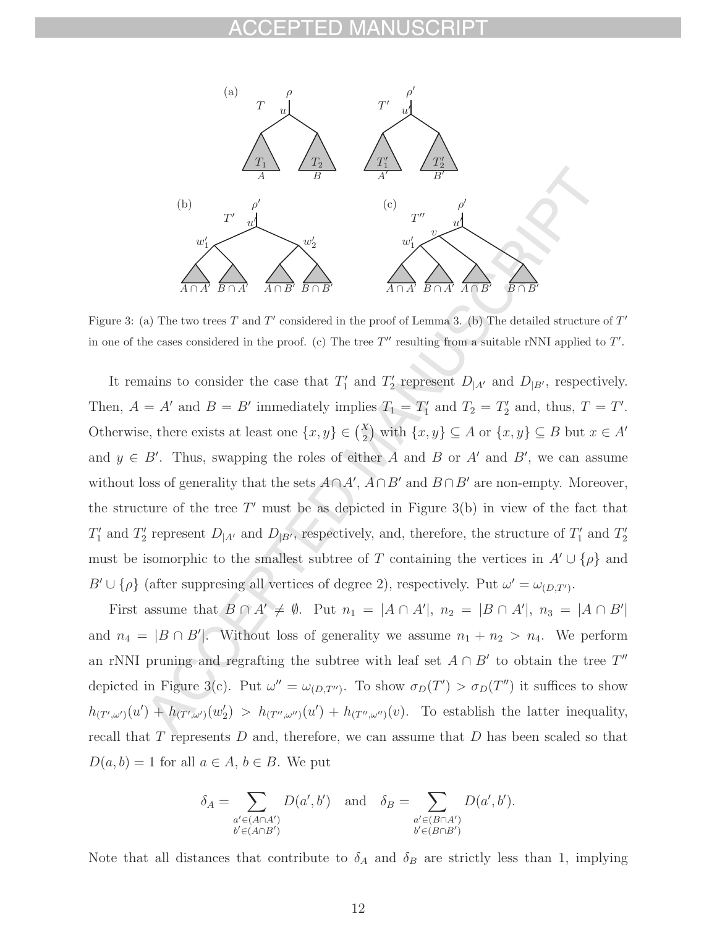

Figure 3: (a) The two trees T and T' considered in the proof of Lemma 3. (b) The detailed structure of  $T'$ in one of the cases considered in the proof. (c) The tree  $T''$  resulting from a suitable rNNI applied to  $T'$ .

It remains to consider the case that  $T_1'$  and  $T_2'$  represent  $D_{|A'}$  and  $D_{|B'}$ , respectively. Then,  $A = A'$  and  $B = B'$  immediately implies  $T_1 = T_1'$  and  $T_2 = T_2'$  and, thus,  $T = T'$ . Otherwise, there exists at least one  $\{x, y\} \in \binom{X}{2}$ ) with  $\{x, y\} \subseteq A$  or  $\{x, y\} \subseteq B$  but  $x \in A'$ and  $y \in B'$ . Thus, swapping the roles of either A and B or A' and B', we can assume without loss of generality that the sets  $A \cap A'$ ,  $A \cap B'$  and  $B \cap B'$  are non-empty. Moreover, the structure of the tree  $T'$  must be as depicted in Figure 3(b) in view of the fact that  $T'_1$  and  $T'_2$  represent  $D_{|A'}$  and  $D_{|B'}$ , respectively, and, therefore, the structure of  $T'_1$  and  $T'_2$ must be isomorphic to the smallest subtree of T containing the vertices in  $A' \cup \{\rho\}$  and  $B' \cup \{\rho\}$  (after suppresing all vertices of degree 2), respectively. Put  $\omega' = \omega_{(D,T')}$ .

First assume that  $B \cap A' \neq \emptyset$ . Put  $n_1 = |A \cap A'|$ ,  $n_2 = |B \cap A'|$ ,  $n_3 = |A \cap B'|$ and  $n_4 = |B \cap B'|$ . Without loss of generality we assume  $n_1 + n_2 > n_4$ . We perform an rNNI pruning and regrafting the subtree with leaf set  $A \cap B'$  to obtain the tree T'' depicted in Figure 3(c). Put  $\omega'' = \omega_{(D,T'')}$ . To show  $\sigma_D(T') > \sigma_D(T'')$  it suffices to show  $h_{(T',\omega')}(u') + h_{(T',\omega')}(w_2') > h_{(T'',\omega'')}(u') + h_{(T'',\omega'')}(v)$ . To establish the latter inequality, recall that  $T$  represents  $D$  and, therefore, we can assume that  $D$  has been scaled so that  $D(a, b) = 1$  for all  $a \in A, b \in B$ . We put

$$
\delta_A = \sum_{\substack{a' \in (A \cap A') \\ b' \in (A \cap B')}} D(a', b') \quad \text{and} \quad \delta_B = \sum_{\substack{a' \in (B \cap A') \\ b' \in (B \cap B')}} D(a', b').
$$

Note that all distances that contribute to  $\delta_A$  and  $\delta_B$  are strictly less than 1, implying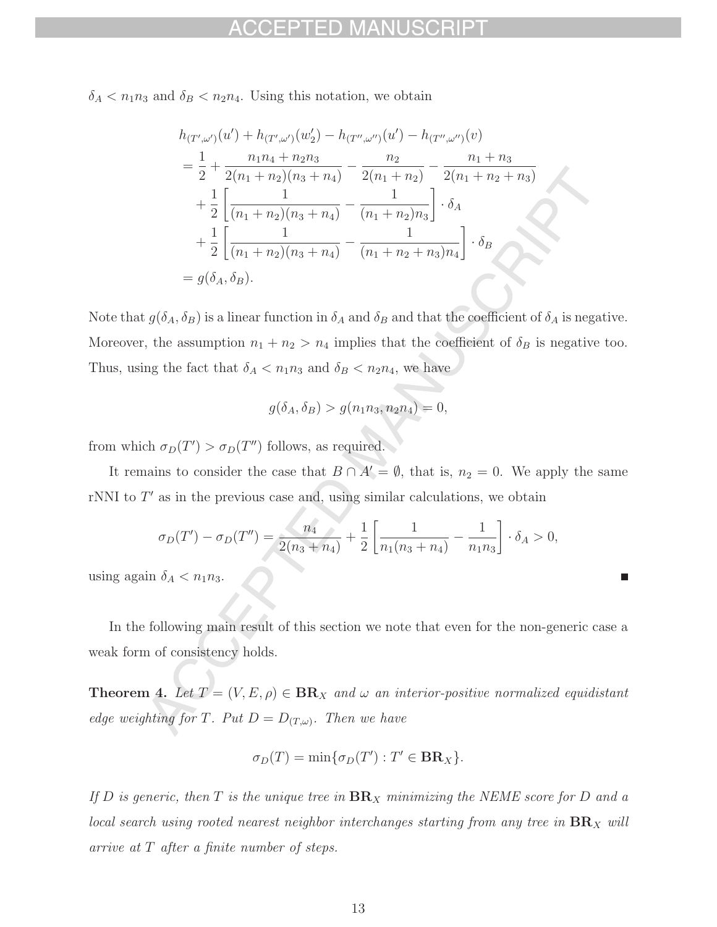$\delta_A < n_1 n_3$  and  $\delta_B < n_2 n_4$ . Using this notation, we obtain

$$
h_{(T',\omega')}(u') + h_{(T',\omega')}(w_2') - h_{(T'',\omega'')}(u') - h_{(T'',\omega'')}(v)
$$
  
=  $\frac{1}{2} + \frac{n_1 n_4 + n_2 n_3}{2(n_1 + n_2)(n_3 + n_4)} - \frac{n_2}{2(n_1 + n_2)} - \frac{n_1 + n_3}{2(n_1 + n_2 + n_3)}$   
+  $\frac{1}{2} \left[ \frac{1}{(n_1 + n_2)(n_3 + n_4)} - \frac{1}{(n_1 + n_2)n_3} \right] \cdot \delta_A$   
+  $\frac{1}{2} \left[ \frac{1}{(n_1 + n_2)(n_3 + n_4)} - \frac{1}{(n_1 + n_2 + n_3)n_4} \right] \cdot \delta_B$   
=  $g(\delta_A, \delta_B)$ .

Note that  $g(\delta_A, \delta_B)$  is a linear function in  $\delta_A$  and  $\delta_B$  and that the coefficient of  $\delta_A$  is negative. Moreover, the assumption  $n_1 + n_2 > n_4$  implies that the coefficient of  $\delta_B$  is negative too. Thus, using the fact that  $\delta_A < n_1 n_3$  and  $\delta_B < n_2 n_4$ , we have

$$
g(\delta_A, \delta_B) > g(n_1 n_3, n_2 n_4) = 0,
$$

from which  $\sigma_D(T') > \sigma_D(T'')$  follows, as required.

It remains to consider the case that  $B \cap A' = \emptyset$ , that is,  $n_2 = 0$ . We apply the same rNNI to  $T'$  as in the previous case and, using similar calculations, we obtain

$$
\sigma_D(T') - \sigma_D(T'') = \frac{n_4}{2(n_3 + n_4)} + \frac{1}{2} \left[ \frac{1}{n_1(n_3 + n_4)} - \frac{1}{n_1 n_3} \right] \cdot \delta_A > 0,
$$

using again  $\delta_A < n_1 n_3$ .

In the following main result of this section we note that even for the non-generic case a weak form of consistency holds.

**Theorem 4.** Let  $T = (V, E, \rho) \in \mathbf{BR}_X$  and  $\omega$  an interior-positive normalized equidistant edge weighting for T. Put  $D = D_{(T,\omega)}$ . Then we have

$$
\sigma_D(T) = \min{\{\sigma_D(T'): T' \in \mathbf{BR}_X\}}.
$$

If D is generic, then T is the unique tree in  $BR_X$  minimizing the NEME score for D and a local search using rooted nearest neighbor interchanges starting from any tree in  $\mathbf{BR}_X$  will arrive at T after a finite number of steps.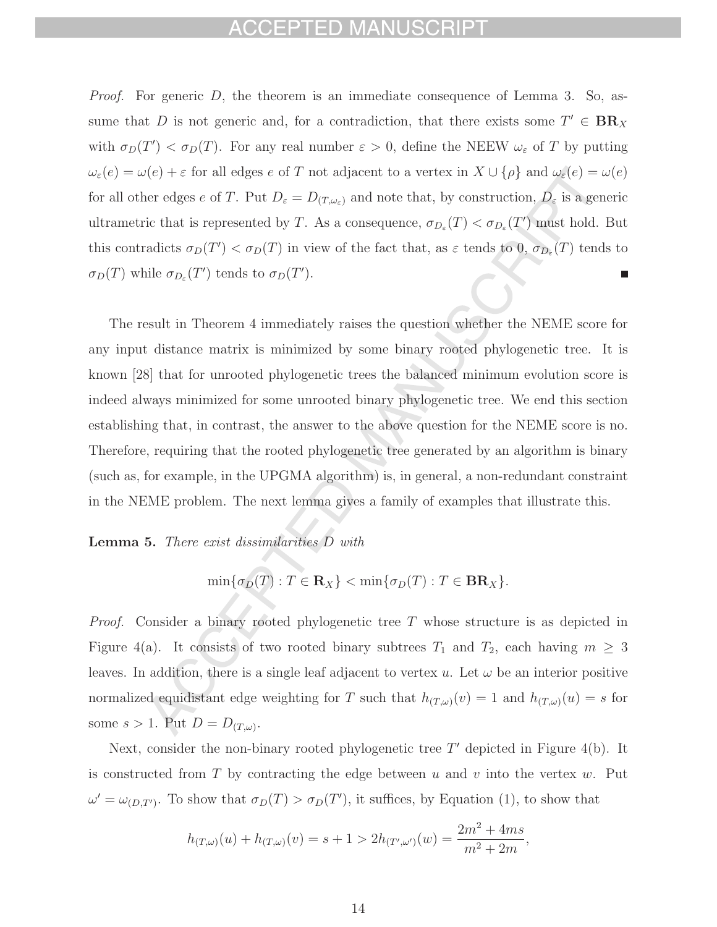## EPTED MAN

*Proof.* For generic  $D$ , the theorem is an immediate consequence of Lemma 3. So, assume that D is not generic and, for a contradiction, that there exists some  $T' \in BR_X$ with  $\sigma_D(T') < \sigma_D(T)$ . For any real number  $\varepsilon > 0$ , define the NEEW  $\omega_{\varepsilon}$  of T by putting  $\omega_\varepsilon(e)=\omega(e)+\varepsilon \text{ for all edges }e \text{ of }T \text{ not adjacent to a vertex in }X\cup\{\rho\} \text{ and } \omega_\varepsilon(e)=\omega(e)$ for all other edges e of T. Put  $D_{\varepsilon} = D_{(T,\omega_{\varepsilon})}$  and note that, by construction,  $D_{\varepsilon}$  is a generic ultrametric that is represented by T. As a consequence,  $\sigma_{D_{\varepsilon}}(T) < \sigma_{D_{\varepsilon}}(T')$  must hold. But this contradicts  $\sigma_D(T') < \sigma_D(T)$  in view of the fact that, as  $\varepsilon$  tends to 0,  $\sigma_{D_{\varepsilon}}(T)$  tends to  $\sigma_D(T)$  while  $\sigma_{D_{\varepsilon}}(T')$  tends to  $\sigma_D(T')$ .

The result in Theorem 4 immediately raises the question whether the NEME score for any input distance matrix is minimized by some binary rooted phylogenetic tree. It is known [28] that for unrooted phylogenetic trees the balanced minimum evolution score is indeed always minimized for some unrooted binary phylogenetic tree. We end this section establishing that, in contrast, the answer to the above question for the NEME score is no. Therefore, requiring that the rooted phylogenetic tree generated by an algorithm is binary (such as, for example, in the UPGMA algorithm) is, in general, a non-redundant constraint in the NEME problem. The next lemma gives a family of examples that illustrate this.

**Lemma 5.** There exist dissimilarities D with

$$
\min\{\sigma_D(T): T \in \mathbf{R}_X\} < \min\{\sigma_D(T): T \in \mathbf{BR}_X\}.
$$

Proof. Consider a binary rooted phylogenetic tree T whose structure is as depicted in Figure 4(a). It consists of two rooted binary subtrees  $T_1$  and  $T_2$ , each having  $m \geq 3$ leaves. In addition, there is a single leaf adjacent to vertex u. Let  $\omega$  be an interior positive normalized equidistant edge weighting for T such that  $h_{(T,\omega)}(v) = 1$  and  $h_{(T,\omega)}(u) = s$  for some  $s > 1$ . Put  $D = D_{(T,\omega)}$ .

Next, consider the non-binary rooted phylogenetic tree  $T'$  depicted in Figure 4(b). It is constructed from T by contracting the edge between u and v into the vertex  $w$ . Put  $\omega' = \omega_{(D,T')}$ . To show that  $\sigma_D(T) > \sigma_D(T')$ , it suffices, by Equation (1), to show that

$$
h_{(T,\omega)}(u) + h_{(T,\omega)}(v) = s + 1 > 2h_{(T',\omega')}(w) = \frac{2m^2 + 4ms}{m^2 + 2m},
$$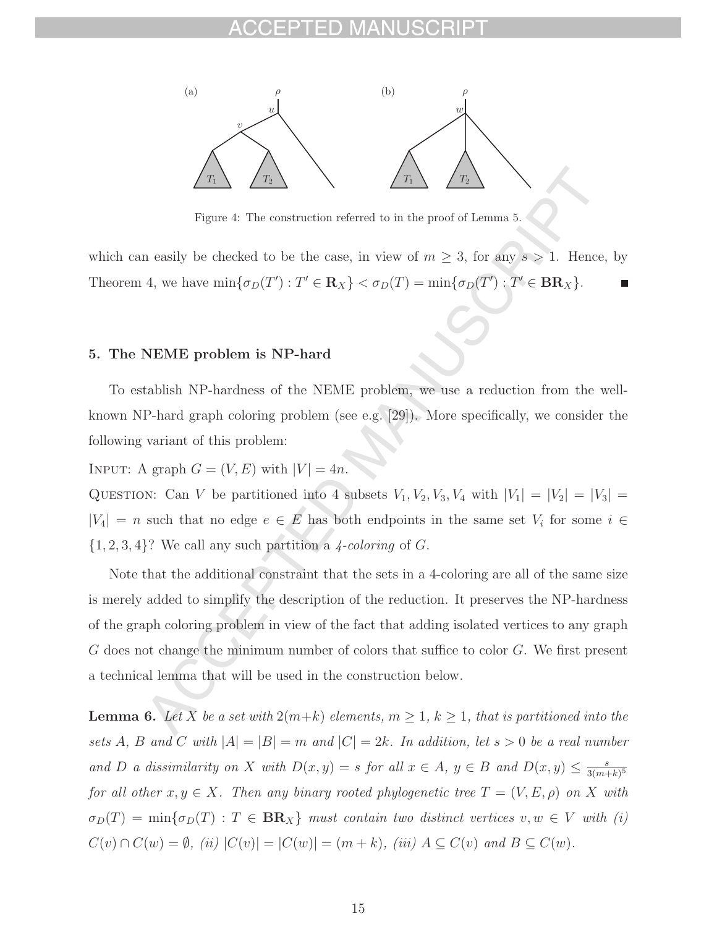

Figure 4: The construction referred to in the proof of Lemma 5.

which can easily be checked to be the case, in view of  $m \geq 3$ , for any  $s > 1$ . Hence, by Theorem 4, we have  $\min{\{\sigma_D(T'): T' \in \mathbf{R}_X\}} < \sigma_D(T) = \min{\{\sigma_D(T'): T' \in \mathbf{BR}_X\}}$ .

### **5. The NEME problem is NP-hard**

To establish NP-hardness of the NEME problem, we use a reduction from the wellknown NP-hard graph coloring problem (see e.g. [29]). More specifically, we consider the following variant of this problem:

INPUT: A graph  $G = (V, E)$  with  $|V| = 4n$ .

QUESTION: Can V be partitioned into 4 subsets  $V_1, V_2, V_3, V_4$  with  $|V_1| = |V_2| = |V_3|$  $|V_4| = n$  such that no edge  $e \in E$  has both endpoints in the same set  $V_i$  for some  $i \in$  $\{1, 2, 3, 4\}$ ? We call any such partition a 4-coloring of G.

Note that the additional constraint that the sets in a 4-coloring are all of the same size is merely added to simplify the description of the reduction. It preserves the NP-hardness of the graph coloring problem in view of the fact that adding isolated vertices to any graph G does not change the minimum number of colors that suffice to color G. We first present a technical lemma that will be used in the construction below.

**Lemma 6.** Let X be a set with  $2(m+k)$  elements,  $m \geq 1$ ,  $k \geq 1$ , that is partitioned into the sets A, B and C with  $|A| = |B| = m$  and  $|C| = 2k$ . In addition, let  $s > 0$  be a real number and D a dissimilarity on X with  $D(x, y) = s$  for all  $x \in A$ ,  $y \in B$  and  $D(x, y) \leq \frac{s}{3(m+k)^5}$ for all other  $x, y \in X$ . Then any binary rooted phylogenetic tree  $T = (V, E, \rho)$  on X with  $\sigma_D(T) = \min{\lbrace \sigma_D(T) : T \in \mathbf{BR}_X \rbrace}$  must contain two distinct vertices  $v, w \in V$  with (i)  $C(v) \cap C(w) = \emptyset$ , (ii)  $|C(v)| = |C(w)| = (m+k)$ , (iii)  $A \subseteq C(v)$  and  $B \subseteq C(w)$ .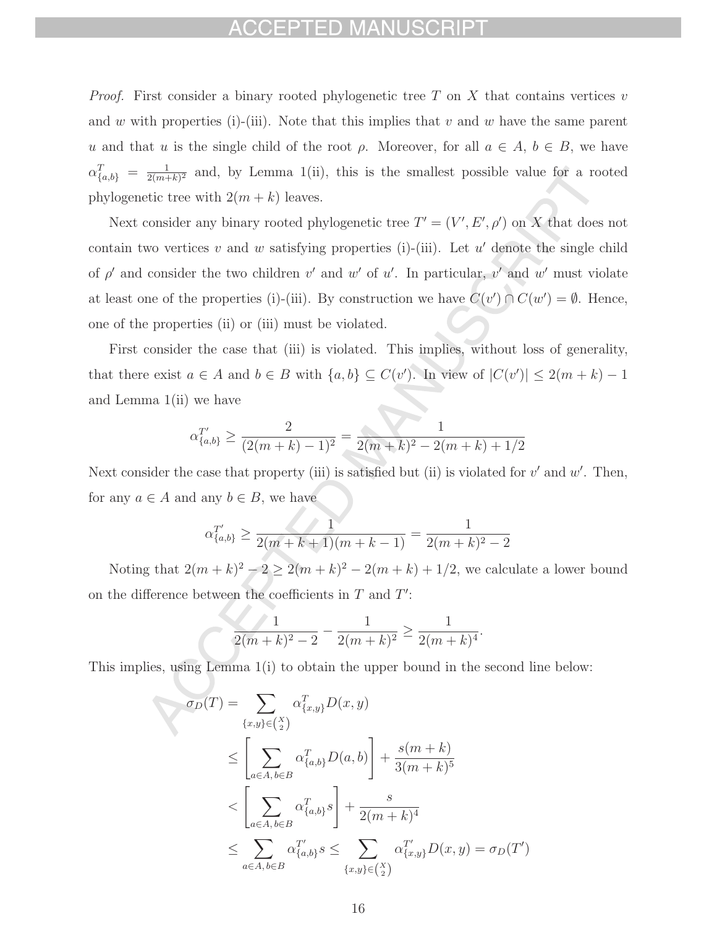*Proof.* First consider a binary rooted phylogenetic tree T on X that contains vertices v and w with properties (i)-(iii). Note that this implies that v and w have the same parent u and that u is the single child of the root  $\rho$ . Moreover, for all  $a \in A, b \in B$ , we have  $\alpha_{\{a,b\}}^T = \frac{1}{2(m+k)^2}$  and, by Lemma 1(ii), this is the smallest possible value for a rooted phylogenetic tree with  $2(m + k)$  leaves.

Next consider any binary rooted phylogenetic tree  $T' = (V', E', \rho')$  on X that does not contain two vertices v and w satisfying properties (i)-(iii). Let  $u'$  denote the single child of  $\rho'$  and consider the two children v' and w' of u'. In particular, v' and w' must violate at least one of the properties (i)-(iii). By construction we have  $C(v') \cap C(w') = \emptyset$ . Hence, one of the properties (ii) or (iii) must be violated.

First consider the case that (iii) is violated. This implies, without loss of generality, that there exist  $a \in A$  and  $b \in B$  with  $\{a, b\} \subseteq C(v')$ . In view of  $|C(v')| \leq 2(m+k)-1$ and Lemma 1(ii) we have

$$
\alpha_{\{a,b\}}^{T'} \ge \frac{2}{(2(m+k)-1)^2} = \frac{1}{2(m+k)^2 - 2(m+k) + 1/2}
$$

Next consider the case that property (iii) is satisfied but (ii) is violated for  $v'$  and  $w'$ . Then, for any  $a \in A$  and any  $b \in B$ , we have

$$
\alpha_{\{a,b\}}^{T'} \ge \frac{1}{2(m+k+1)(m+k-1)} = \frac{1}{2(m+k)^2 - 2}
$$

Noting that  $2(m + k)^2 - 2 \ge 2(m + k)^2 - 2(m + k) + 1/2$ , we calculate a lower bound on the difference between the coefficients in  $T$  and  $T'$ :

$$
\frac{1}{2(m+k)^2 - 2} - \frac{1}{2(m+k)^2} \ge \frac{1}{2(m+k)^4}.
$$

This implies, using Lemma 1(i) to obtain the upper bound in the second line below:

$$
\sigma_D(T) = \sum_{\{x,y\} \in {X \choose 2}} \alpha_{\{x,y\}}^T D(x,y)
$$
  
\n
$$
\leq \left[ \sum_{a \in A, b \in B} \alpha_{\{a,b\}}^T D(a,b) \right] + \frac{s(m+k)}{3(m+k)^5}
$$
  
\n
$$
< \left[ \sum_{a \in A, b \in B} \alpha_{\{a,b\}}^T s \right] + \frac{s}{2(m+k)^4}
$$
  
\n
$$
\leq \sum_{a \in A, b \in B} \alpha_{\{a,b\}}^T s \leq \sum_{\{x,y\} \in {X \choose 2}} \alpha_{\{x,y\}}^T D(x,y) = \sigma_D(T')
$$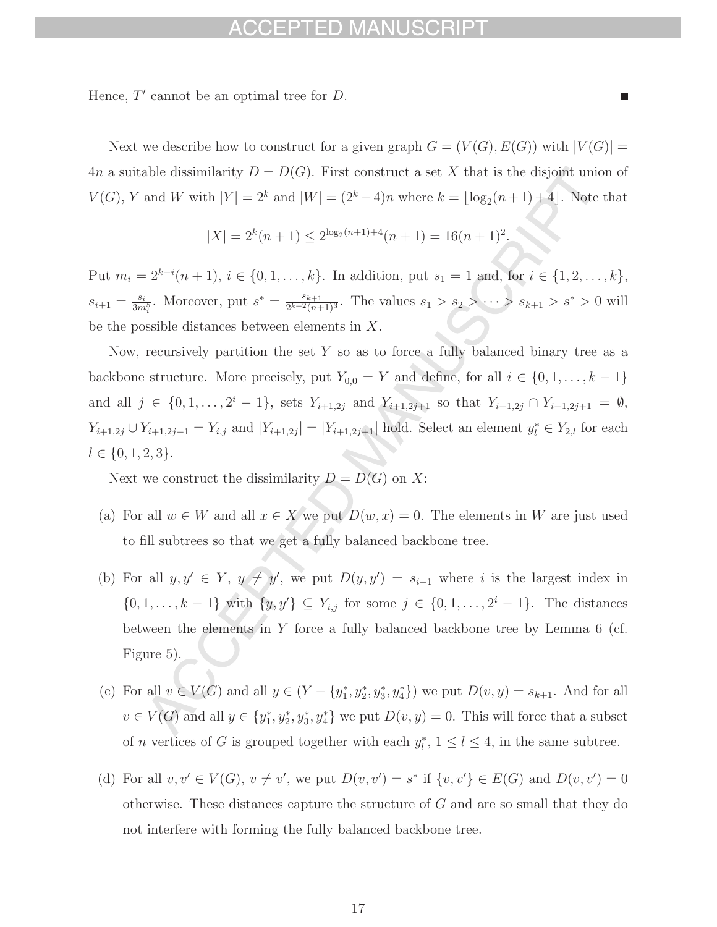## -D MA

Hence,  $T'$  cannot be an optimal tree for  $D$ .

Next we describe how to construct for a given graph  $G = (V(G), E(G))$  with  $|V(G)| =$ 4n a suitable dissimilarity  $D = D(G)$ . First construct a set X that is the disjoint union of  $V(G)$ , Y and W with  $|Y| = 2^k$  and  $|W| = (2^k - 4)n$  where  $k = \lfloor \log_2(n+1) + 4 \rfloor$ . Note that

$$
|X| = 2^{k}(n+1) \le 2^{\log_2(n+1)+4}(n+1) = 16(n+1)^2.
$$

Put  $m_i = 2^{k-i}(n+1)$ ,  $i \in \{0, 1, ..., k\}$ . In addition, put  $s_1 = 1$  and, for  $i \in \{1, 2, ..., k\}$ ,  $s_{i+1} = \frac{s_i}{3m_i^5}$ . Moreover, put  $s^* = \frac{s_{k+1}}{2^{k+2}(n+1)^3}$ . The values  $s_1 > s_2 > \cdots > s_{k+1} > s^* > 0$  will be the possible distances between elements in X.

Now, recursively partition the set  $Y$  so as to force a fully balanced binary tree as a backbone structure. More precisely, put  $Y_{0,0} = Y$  and define, for all  $i \in \{0,1,\ldots,k-1\}$ and all  $j \in \{0, 1, \ldots, 2^{i} - 1\}$ , sets  $Y_{i+1,2j}$  and  $Y_{i+1,2j+1}$  so that  $Y_{i+1,2j} \cap Y_{i+1,2j+1} = \emptyset$ ,  $Y_{i+1,2j} \cup Y_{i+1,2j+1} = Y_{i,j}$  and  $|Y_{i+1,2j}| = |Y_{i+1,2j+1}|$  hold. Select an element  $y_i^* \in Y_{2,l}$  for each  $l \in \{0, 1, 2, 3\}.$ 

Next we construct the dissimilarity  $D = D(G)$  on X:

- (a) For all  $w \in W$  and all  $x \in X$  we put  $D(w, x) = 0$ . The elements in W are just used to fill subtrees so that we get a fully balanced backbone tree.
- (b) For all  $y, y' \in Y$ ,  $y \neq y'$ , we put  $D(y, y') = s_{i+1}$  where i is the largest index in  $\{0, 1, \ldots, k-1\}$  with  $\{y, y'\} \subseteq Y_{i,j}$  for some  $j \in \{0, 1, \ldots, 2^{i} - 1\}$ . The distances between the elements in Y force a fully balanced backbone tree by Lemma 6 (cf. Figure 5).
- (c) For all  $v \in V(G)$  and all  $y \in (Y \{y_1^*, y_2^*, y_3^*, y_4^*\})$  we put  $D(v, y) = s_{k+1}$ . And for all  $v \in V(G)$  and all  $y \in \{y_1^*, y_2^*, y_3^*, y_4^*\}$  we put  $D(v, y) = 0$ . This will force that a subset of *n* vertices of *G* is grouped together with each  $y_l^*$ ,  $1 \le l \le 4$ , in the same subtree.
- (d) For all  $v, v' \in V(G)$ ,  $v \neq v'$ , we put  $D(v, v') = s^*$  if  $\{v, v'\} \in E(G)$  and  $D(v, v') = 0$ otherwise. These distances capture the structure of  $G$  and are so small that they do not interfere with forming the fully balanced backbone tree.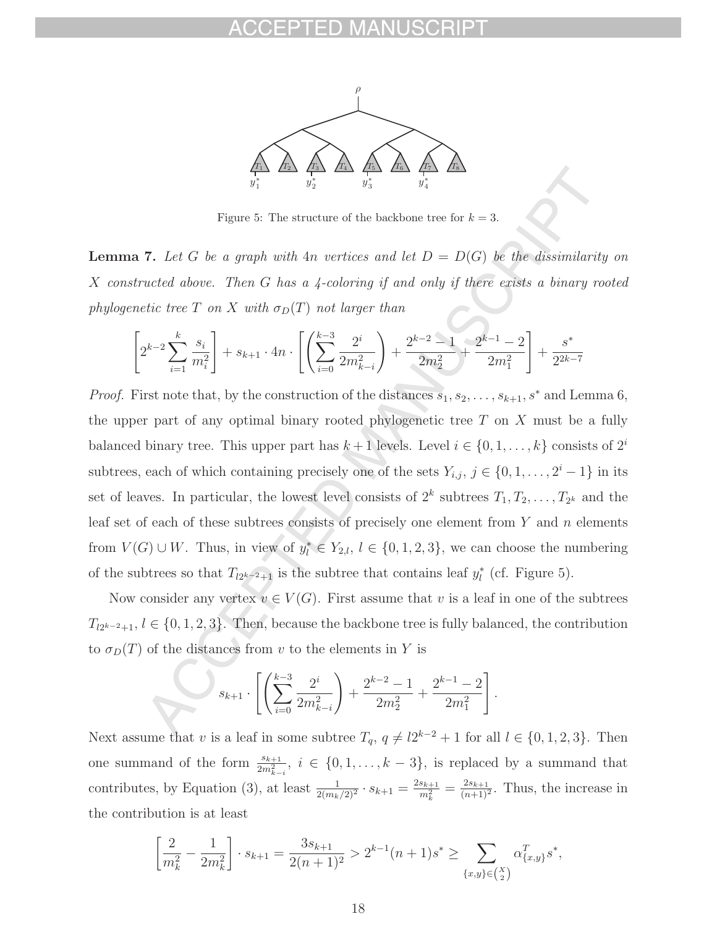

Figure 5: The structure of the backbone tree for  $k = 3$ .

**Lemma 7.** Let G be a graph with 4n vertices and let  $D = D(G)$  be the dissimilarity on  $X$  constructed above. Then  $G$  has a 4-coloring if and only if there exists a binary rooted phylogenetic tree T on X with  $\sigma_D(T)$  not larger than

$$
\left[2^{k-2}\sum_{i=1}^k\frac{s_i}{m_i^2}\right] + s_{k+1} \cdot 4n \cdot \left[\left(\sum_{i=0}^{k-3}\frac{2^i}{2m_{k-i}^2}\right) + \frac{2^{k-2}-1}{2m_2^2} + \frac{2^{k-1}-2}{2m_1^2}\right] + \frac{s^*}{2^{2k-7}}
$$

*Proof.* First note that, by the construction of the distances  $s_1, s_2, \ldots, s_{k+1}, s^*$  and Lemma 6, the upper part of any optimal binary rooted phylogenetic tree  $T$  on  $X$  must be a fully balanced binary tree. This upper part has  $k+1$  levels. Level  $i \in \{0,1,\ldots,k\}$  consists of  $2^i$ subtrees, each of which containing precisely one of the sets  $Y_{i,j}$ ,  $j \in \{0, 1, \ldots, 2^{i} - 1\}$  in its set of leaves. In particular, the lowest level consists of  $2^k$  subtrees  $T_1, T_2, \ldots, T_{2^k}$  and the leaf set of each of these subtrees consists of precisely one element from  $Y$  and  $n$  elements from  $V(G) \cup W$ . Thus, in view of  $y_l^* \in Y_{2,l}$ ,  $l \in \{0,1,2,3\}$ , we can choose the numbering of the subtrees so that  $T_{l2^{k-2}+1}$  is the subtree that contains leaf  $y_l^*$  (cf. Figure 5).

Now consider any vertex  $v \in V(G)$ . First assume that v is a leaf in one of the subtrees  $T_{2^{k-2}+1}, l \in \{0,1,2,3\}$ . Then, because the backbone tree is fully balanced, the contribution to  $\sigma_D(T)$  of the distances from v to the elements in Y is

.

$$
s_{k+1} \cdot \left[ \left( \sum_{i=0}^{k-3} \frac{2^i}{2m_{k-i}^2} \right) + \frac{2^{k-2} - 1}{2m_2^2} + \frac{2^{k-1} - 2}{2m_1^2} \right]
$$

Next assume that v is a leaf in some subtree  $T_q$ ,  $q \neq l2^{k-2} + 1$  for all  $l \in \{0, 1, 2, 3\}$ . Then one summand of the form  $\frac{s_{k+1}}{2m^2}$  $\frac{s_{k+1}}{2m_{k-i}^2}$ ,  $i \in \{0, 1, \ldots, k-3\}$ , is replaced by a summand that contributes, by Equation (3), at least  $\frac{1}{2(m_k/2)^2} \cdot s_{k+1} = \frac{2s_{k+1}}{m_k^2} = \frac{2s_{k+1}}{(n+1)^2}$ . Thus, the increase in the contribution is at least

$$
\left[\frac{2}{m_k^2} - \frac{1}{2m_k^2}\right] \cdot s_{k+1} = \frac{3s_{k+1}}{2(n+1)^2} > 2^{k-1}(n+1)s^* \ge \sum_{\{x,y\} \in \binom{X}{2}} \alpha_{\{x,y\}}^T s^*,
$$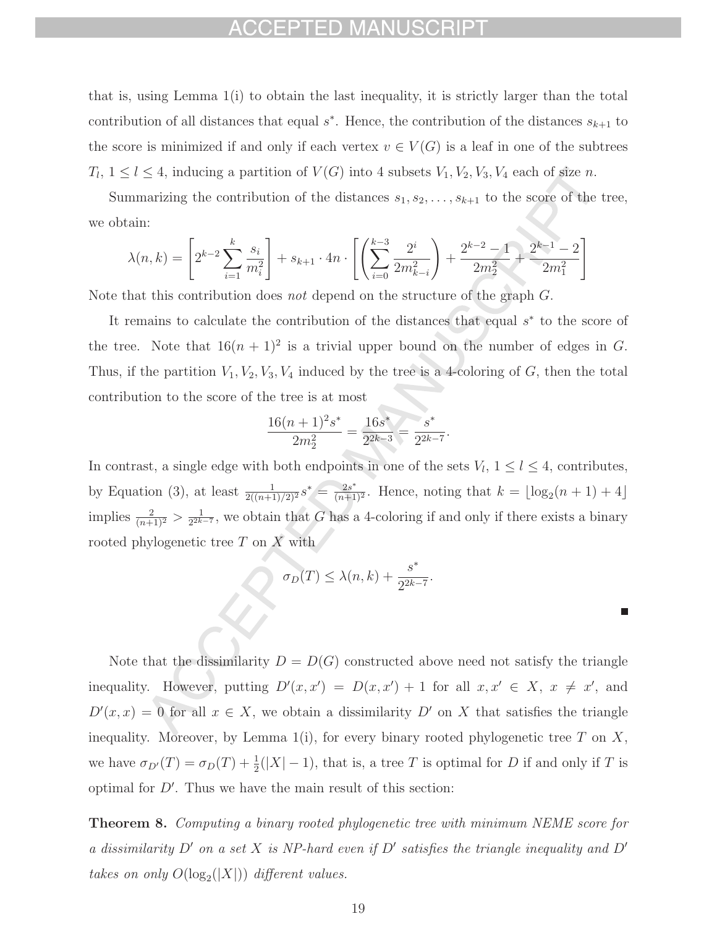## FPTED MANIL

that is, using Lemma 1(i) to obtain the last inequality, it is strictly larger than the total contribution of all distances that equal  $s^*$ . Hence, the contribution of the distances  $s_{k+1}$  to the score is minimized if and only if each vertex  $v \in V(G)$  is a leaf in one of the subtrees  $T_l$ ,  $1 \leq l \leq 4$ , inducing a partition of  $V(G)$  into 4 subsets  $V_1, V_2, V_3, V_4$  each of size n.

Summarizing the contribution of the distances  $s_1, s_2, \ldots, s_{k+1}$  to the score of the tree, we obtain:

$$
\lambda(n,k) = \left[2^{k-2} \sum_{i=1}^k \frac{s_i}{m_i^2}\right] + s_{k+1} \cdot 4n \cdot \left[\left(\sum_{i=0}^{k-3} \frac{2^i}{2m_{k-i}^2}\right) + \frac{2^{k-2}-1}{2m_2^2} + \frac{2^{k-1}-2}{2m_1^2}\right]
$$

Note that this contribution does *not* depend on the structure of the graph G.

It remains to calculate the contribution of the distances that equal s<sup>∗</sup> to the score of the tree. Note that  $16(n + 1)^2$  is a trivial upper bound on the number of edges in G. Thus, if the partition  $V_1, V_2, V_3, V_4$  induced by the tree is a 4-coloring of  $G$ , then the total contribution to the score of the tree is at most

$$
\frac{16(n+1)^2s^*}{2m_2^2} = \frac{16s^*}{2^{2k-3}} = \frac{s^*}{2^{2k-7}}.
$$

In contrast, a single edge with both endpoints in one of the sets  $V_l$ ,  $1 \leq l \leq 4$ , contributes, by Equation (3), at least  $\frac{1}{2((n+1)/2)^2} s^* = \frac{2s^*}{(n+1)^2}$ . Hence, noting that  $k = \lfloor \log_2(n+1) + 4 \rfloor$ implies  $\frac{2}{(n+1)^2} > \frac{1}{2^{2k-7}}$ , we obtain that G has a 4-coloring if and only if there exists a binary rooted phylogenetic tree  $T$  on  $\overline{X}$  with

$$
\sigma_D(T) \le \lambda(n,k) + \frac{s^*}{2^{2k-7}}.
$$

Note that the dissimilarity  $D = D(G)$  constructed above need not satisfy the triangle inequality. However, putting  $D'(x, x') = D(x, x') + 1$  for all  $x, x' \in X$ ,  $x \neq x'$ , and  $D'(x, x) = 0$  for all  $x \in X$ , we obtain a dissimilarity  $D'$  on X that satisfies the triangle inequality. Moreover, by Lemma 1(i), for every binary rooted phylogenetic tree  $T$  on  $X$ , we have  $\sigma_{D'}(T) = \sigma_D(T) + \frac{1}{2}(|X| - 1)$ , that is, a tree T is optimal for D if and only if T is optimal for  $D'$ . Thus we have the main result of this section:

**Theorem 8.** Computing a binary rooted phylogenetic tree with minimum NEME score for a dissimilarity  $D'$  on a set X is NP-hard even if  $D'$  satisfies the triangle inequality and  $D'$ takes on only  $O(\log_2(|X|))$  different values.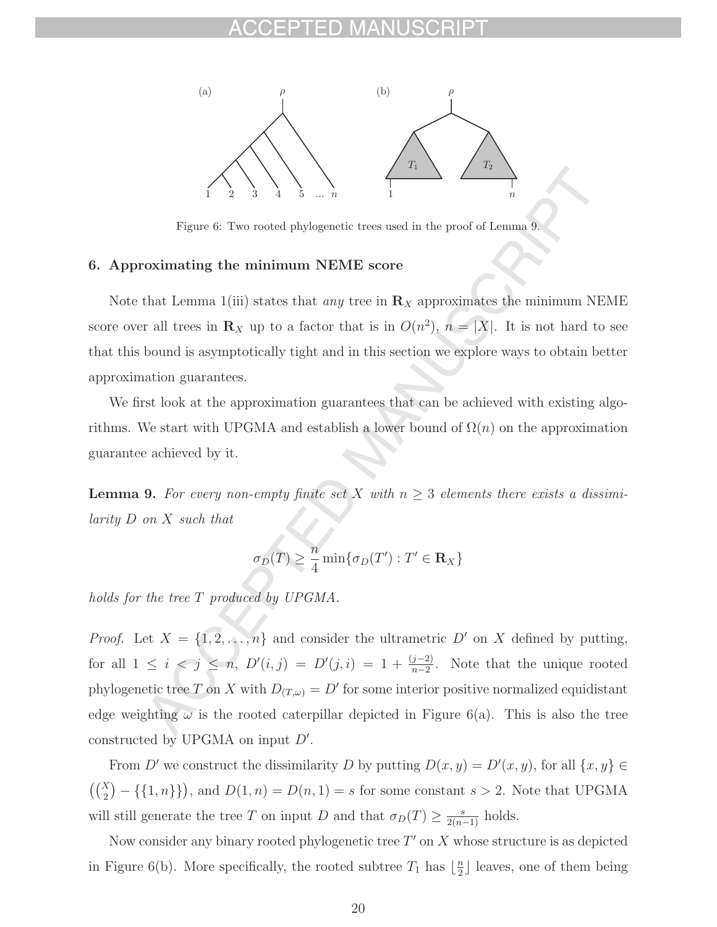

Figure 6: Two rooted phylogenetic trees used in the proof of Lemma 9.

### **6. Approximating the minimum NEME score**

Note that Lemma 1(iii) states that *any* tree in  $\mathbf{R}_X$  approximates the minimum NEME score over all trees in  $\mathbf{R}_X$  up to a factor that is in  $O(n^2)$ ,  $n = |X|$ . It is not hard to see that this bound is asymptotically tight and in this section we explore ways to obtain better approximation guarantees.

We first look at the approximation guarantees that can be achieved with existing algorithms. We start with UPGMA and establish a lower bound of  $\Omega(n)$  on the approximation guarantee achieved by it.

**Lemma 9.** For every non-empty finite set X with  $n \geq 3$  elements there exists a dissimilarity D on X such that

$$
\sigma_D(T) \ge \frac{n}{4} \min \{ \sigma_D(T') : T' \in \mathbf{R}_X \}
$$

holds for the tree T produced by UPGMA.

*Proof.* Let  $X = \{1, 2, ..., n\}$  and consider the ultrametric D' on X defined by putting, for all  $1 \leq i \leq j \leq n$ ,  $D'(i, j) = D'(j, i) = 1 + \frac{(j-2)}{n-2}$ . Note that the unique rooted phylogenetic tree T on X with  $D_{(T,\omega)} = D'$  for some interior positive normalized equidistant edge weighting  $\omega$  is the rooted caterpillar depicted in Figure 6(a). This is also the tree constructed by UPGMA on input  $D'$ .

From D' we construct the dissimilarity D by putting  $D(x, y) = D'(x, y)$ , for all  $\{x, y\} \in$  $\binom{X}{2}$  $(-\{\{1,n\}\})$ , and  $D(1,n) = D(n,1) = s$  for some constant  $s > 2$ . Note that UPGMA will still generate the tree T on input D and that  $\sigma_D(T) \geq \frac{s}{2(n-1)}$  holds.

Now consider any binary rooted phylogenetic tree  $T'$  on X whose structure is as depicted in Figure 6(b). More specifically, the rooted subtree  $T_1$  has  $\lfloor \frac{n}{2} \rfloor$  leaves, one of them being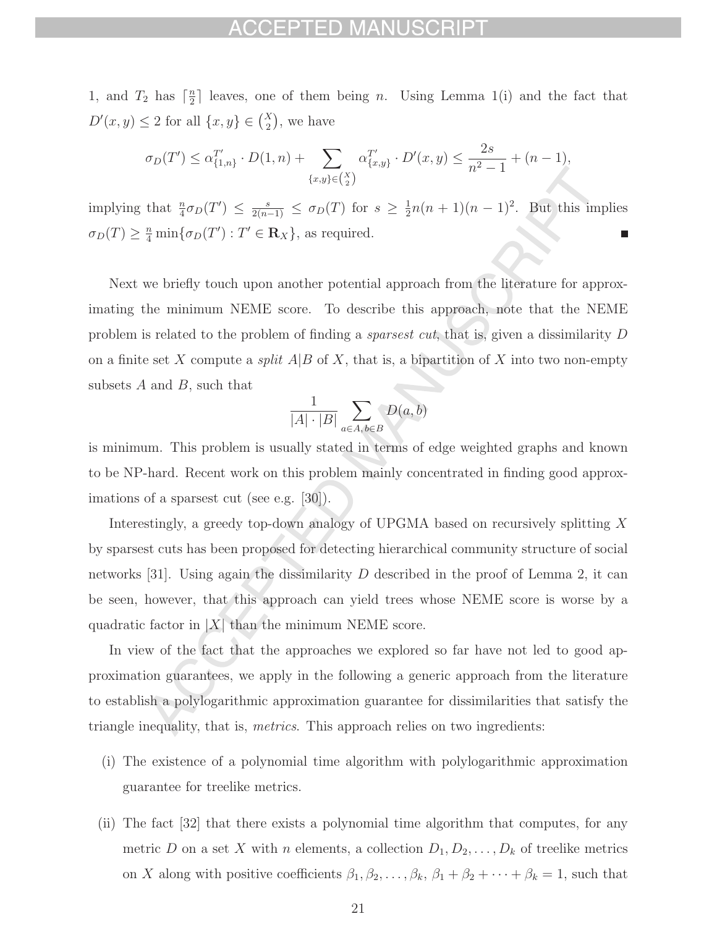## CEPTED MANUS

1, and  $T_2$  has  $\lceil \frac{n}{2} \rceil$  leaves, one of them being *n*. Using Lemma 1(i) and the fact that  $D'(x, y) \leq 2$  for all  $\{x, y\} \in {X \choose 2}$ , we have

$$
\sigma_D(T') \leq \alpha_{\{1,n\}}^{T'} \cdot D(1,n) + \sum_{\{x,y\} \in {X \choose 2}} \alpha_{\{x,y\}}^{T'} \cdot D'(x,y) \leq \frac{2s}{n^2 - 1} + (n - 1),
$$

implying that  $\frac{n}{4}\sigma_D(T') \leq \frac{s}{2(n-1)} \leq \sigma_D(T)$  for  $s \geq \frac{1}{2}n(n+1)(n-1)^2$ . But this implies  $\sigma_D(T) \geq \frac{n}{4} \min \{ \sigma_D(T') : T' \in \mathbf{R}_X \}, \text{ as required.}$ г

Next we briefly touch upon another potential approach from the literature for approximating the minimum NEME score. To describe this approach, note that the NEME problem is related to the problem of finding a sparsest cut, that is, given a dissimilarity D on a finite set X compute a *split*  $A|B$  of X, that is, a bipartition of X into two non-empty subsets  $A$  and  $B$ , such that

$$
\frac{1}{|A| \cdot |B|} \sum_{a \in A, b \in B} D(a, b)
$$

is minimum. This problem is usually stated in terms of edge weighted graphs and known to be NP-hard. Recent work on this problem mainly concentrated in finding good approximations of a sparsest cut (see e.g. [30]).

Interestingly, a greedy top-down analogy of UPGMA based on recursively splitting X by sparsest cuts has been proposed for detecting hierarchical community structure of social networks [31]. Using again the dissimilarity D described in the proof of Lemma 2, it can be seen, however, that this approach can yield trees whose NEME score is worse by a quadratic factor in  $|X|$  than the minimum NEME score.

In view of the fact that the approaches we explored so far have not led to good approximation guarantees, we apply in the following a generic approach from the literature to establish a polylogarithmic approximation guarantee for dissimilarities that satisfy the triangle inequality, that is, metrics. This approach relies on two ingredients:

- (i) The existence of a polynomial time algorithm with polylogarithmic approximation guarantee for treelike metrics.
- (ii) The fact [32] that there exists a polynomial time algorithm that computes, for any metric D on a set X with n elements, a collection  $D_1, D_2, \ldots, D_k$  of treelike metrics on X along with positive coefficients  $\beta_1, \beta_2, \dots, \beta_k, \beta_1 + \beta_2 + \dots + \beta_k = 1$ , such that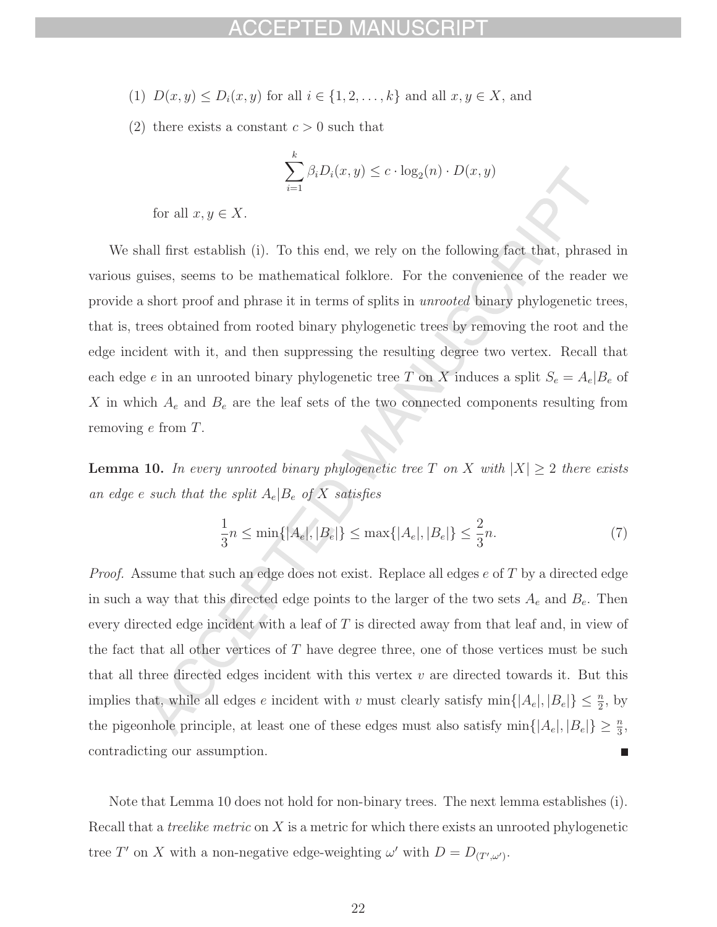## FPTED MAN

- (1)  $D(x, y) \le D_i(x, y)$  for all  $i \in \{1, 2, ..., k\}$  and all  $x, y \in X$ , and
- (2) there exists a constant  $c > 0$  such that

$$
\sum_{i=1}^{k} \beta_i D_i(x, y) \le c \cdot \log_2(n) \cdot D(x, y)
$$

for all  $x, y \in X$ .

We shall first establish (i). To this end, we rely on the following fact that, phrased in various guises, seems to be mathematical folklore. For the convenience of the reader we provide a short proof and phrase it in terms of splits in unrooted binary phylogenetic trees, that is, trees obtained from rooted binary phylogenetic trees by removing the root and the edge incident with it, and then suppressing the resulting degree two vertex. Recall that each edge e in an unrooted binary phylogenetic tree T on X induces a split  $S_e = A_e \mid B_e$  of X in which  $A_e$  and  $B_e$  are the leaf sets of the two connected components resulting from removing e from T.

**Lemma 10.** In every unrooted binary phylogenetic tree T on X with  $|X| \geq 2$  there exists an edge e such that the split  $A_e|B_e$  of X satisfies

$$
\frac{1}{3}n \le \min\{|A_e|, |B_e|\} \le \max\{|A_e|, |B_e|\} \le \frac{2}{3}n. \tag{7}
$$

*Proof.* Assume that such an edge does not exist. Replace all edges  $e$  of  $T$  by a directed edge in such a way that this directed edge points to the larger of the two sets  $A_e$  and  $B_e$ . Then every directed edge incident with a leaf of  $T$  is directed away from that leaf and, in view of the fact that all other vertices of  $T$  have degree three, one of those vertices must be such that all three directed edges incident with this vertex  $v$  are directed towards it. But this implies that, while all edges e incident with v must clearly satisfy  $\min\{|A_e|, |B_e|\} \leq \frac{n}{2}$ , by the pigeonhole principle, at least one of these edges must also satisfy  $\min\{|A_e|, |B_e|\} \geq \frac{n}{3}$ , contradicting our assumption.

Note that Lemma 10 does not hold for non-binary trees. The next lemma establishes (i). Recall that a *treelike metric* on  $X$  is a metric for which there exists an unrooted phylogenetic tree T' on X with a non-negative edge-weighting  $\omega'$  with  $D = D_{(T',\omega')}$ .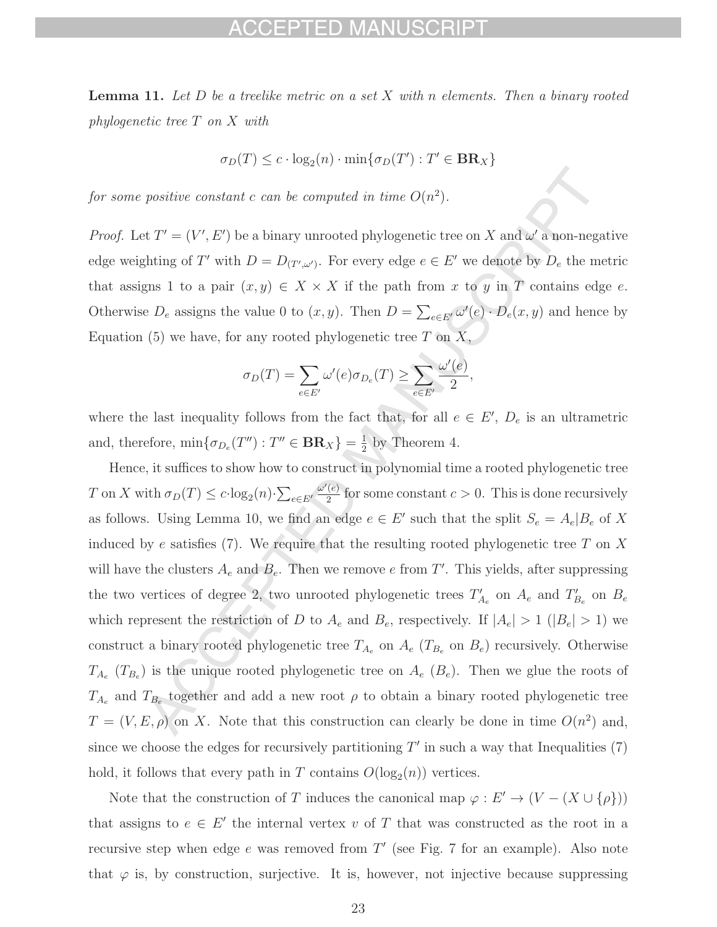## PTED MANL

**Lemma 11.** Let D be a treelike metric on a set X with n elements. Then a binary rooted phylogenetic tree T on X with

$$
\sigma_D(T) \le c \cdot \log_2(n) \cdot \min\{\sigma_D(T') : T' \in \mathbf{BR}_X\}
$$

for some positive constant c can be computed in time  $O(n^2)$ .

*Proof.* Let  $T' = (V', E')$  be a binary unrooted phylogenetic tree on X and  $\omega'$  a non-negative edge weighting of T' with  $D = D_{(T',\omega')}$ . For every edge  $e \in E'$  we denote by  $D_e$  the metric that assigns 1 to a pair  $(x, y) \in X \times X$  if the path from x to y in T contains edge e. Otherwise  $D_e$  assigns the value 0 to  $(x, y)$ . Then  $D = \sum_{e \in E'} \omega'(e) \cdot D_e(x, y)$  and hence by Equation (5) we have, for any rooted phylogenetic tree  $T$  on  $X$ ,

$$
\sigma_D(T) = \sum_{e \in E'} \omega'(e) \sigma_{D_e}(T) \ge \sum_{e \in E'} \frac{\omega'(e)}{2},
$$

where the last inequality follows from the fact that, for all  $e \in E'$ ,  $D_e$  is an ultrametric and, therefore,  $\min\{\sigma_{D_e}(T''): T'' \in \mathbf{BR}_X\} = \frac{1}{2}$  by Theorem 4.

Hence, it suffices to show how to construct in polynomial time a rooted phylogenetic tree T on X with  $\sigma_D(T) \leq c \cdot \log_2(n) \cdot \sum_{e \in E'} \frac{\omega'(e)}{2}$  for some constant  $c > 0$ . This is done recursively as follows. Using Lemma 10, we find an edge  $e \in E'$  such that the split  $S_e = A_e | B_e$  of X induced by e satisfies (7). We require that the resulting rooted phylogenetic tree  $T$  on  $X$ will have the clusters  $A_e$  and  $B_e$ . Then we remove e from T'. This yields, after suppressing the two vertices of degree 2, two unrooted phylogenetic trees  $T'_{A_e}$  on  $A_e$  and  $T'_{B_e}$  on  $B_e$ which represent the restriction of D to  $A_e$  and  $B_e$ , respectively. If  $|A_e| > 1$  ( $|B_e| > 1$ ) we construct a binary rooted phylogenetic tree  $T_{A_e}$  on  $A_e$  ( $T_{B_e}$  on  $B_e$ ) recursively. Otherwise  $T_{A_e}$  ( $T_{B_e}$ ) is the unique rooted phylogenetic tree on  $A_e$  ( $B_e$ ). Then we glue the roots of  $T_{A_e}$  and  $T_{B_e}$  together and add a new root  $\rho$  to obtain a binary rooted phylogenetic tree  $T = (V, E, \rho)$  on X. Note that this construction can clearly be done in time  $O(n^2)$  and, since we choose the edges for recursively partitioning  $T'$  in such a way that Inequalities  $(7)$ hold, it follows that every path in T contains  $O(\log_2(n))$  vertices.

Note that the construction of T induces the canonical map  $\varphi : E' \to (V - (X \cup \{\rho\}))$ that assigns to  $e \in E'$  the internal vertex v of T that was constructed as the root in a recursive step when edge e was removed from  $T'$  (see Fig. 7 for an example). Also note that  $\varphi$  is, by construction, surjective. It is, however, not injective because suppressing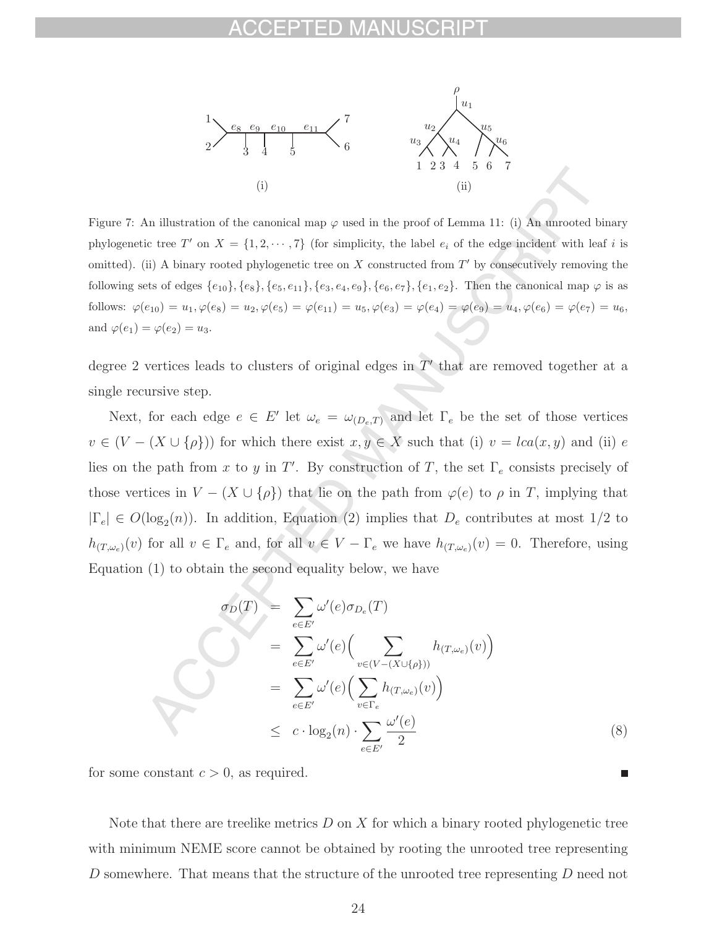

Figure 7: An illustration of the canonical map  $\varphi$  used in the proof of Lemma 11: (i) An unrooted binary phylogenetic tree T' on  $X = \{1, 2, \dots, 7\}$  (for simplicity, the label  $e_i$  of the edge incident with leaf i is omitted). (ii) A binary rooted phylogenetic tree on  $X$  constructed from  $T'$  by consecutively removing the following sets of edges  $\{e_{10}\}, \{e_8\}, \{e_5, e_{11}\}, \{e_3, e_4, e_9\}, \{e_6, e_7\}, \{e_1, e_2\}.$  Then the canonical map  $\varphi$  is as follows:  $\varphi(e_{10}) = u_1, \varphi(e_8) = u_2, \varphi(e_5) = \varphi(e_{11}) = u_5, \varphi(e_3) = \varphi(e_4) = \varphi(e_9) = u_4, \varphi(e_6) = \varphi(e_7) = u_6,$ and  $\varphi(e_1) = \varphi(e_2) = u_3$ .

degree 2 vertices leads to clusters of original edges in  $T'$  that are removed together at a single recursive step.

Next, for each edge  $e \in E'$  let  $\omega_e = \omega_{(D_e,T)}$  and let  $\Gamma_e$  be the set of those vertices  $v \in (V - (X \cup {\rho}))$  for which there exist  $x, y \in X$  such that (i)  $v = lca(x, y)$  and (ii) e lies on the path from x to y in T'. By construction of T, the set  $\Gamma_e$  consists precisely of those vertices in  $V - (X \cup {\rho})$  that lie on the path from  $\varphi(e)$  to  $\rho$  in T, implying that  $|\Gamma_e| \in O(\log_2(n))$ . In addition, Equation (2) implies that  $D_e$  contributes at most 1/2 to  $h_{(T,\omega_e)}(v)$  for all  $v \in \Gamma_e$  and, for all  $v \in V - \Gamma_e$  we have  $h_{(T,\omega_e)}(v) = 0$ . Therefore, using Equation (1) to obtain the second equality below, we have

$$
\sigma_D(T) = \sum_{e \in E'} \omega'(e) \sigma_{D_e}(T)
$$
  
\n
$$
= \sum_{e \in E'} \omega'(e) \Big( \sum_{v \in (V - (X \cup \{\rho\}))} h_{(T, \omega_e)}(v) \Big)
$$
  
\n
$$
= \sum_{e \in E'} \omega'(e) \Big( \sum_{v \in \Gamma_e} h_{(T, \omega_e)}(v) \Big)
$$
  
\n
$$
\leq c \cdot \log_2(n) \cdot \sum_{e \in E'} \frac{\omega'(e)}{2}
$$
 (8)

for some constant  $c > 0$ , as required.

Note that there are treelike metrics  $D$  on  $X$  for which a binary rooted phylogenetic tree with minimum NEME score cannot be obtained by rooting the unrooted tree representing D somewhere. That means that the structure of the unrooted tree representing D need not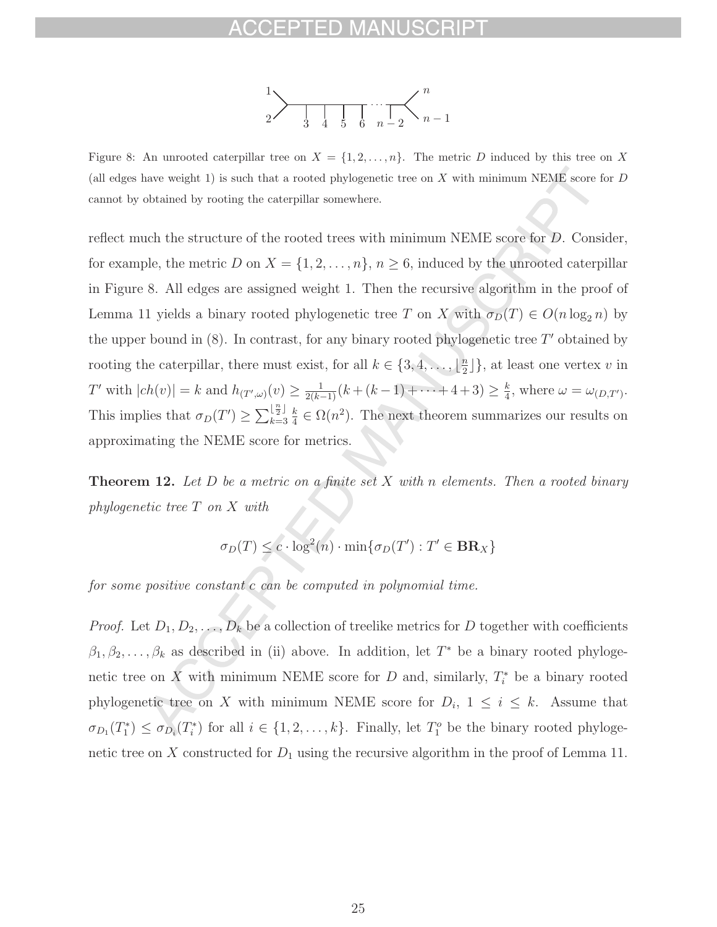

Figure 8: An unrooted caterpillar tree on  $X = \{1, 2, ..., n\}$ . The metric D induced by this tree on X (all edges have weight 1) is such that a rooted phylogenetic tree on  $X$  with minimum NEME score for  $D$ cannot by obtained by rooting the caterpillar somewhere.

reflect much the structure of the rooted trees with minimum NEME score for D. Consider, for example, the metric D on  $X = \{1, 2, ..., n\}$ ,  $n \ge 6$ , induced by the unrooted caterpillar in Figure 8. All edges are assigned weight 1. Then the recursive algorithm in the proof of Lemma 11 yields a binary rooted phylogenetic tree T on X with  $\sigma_D(T) \in O(n \log_2 n)$  by the upper bound in  $(8)$ . In contrast, for any binary rooted phylogenetic tree T' obtained by rooting the caterpillar, there must exist, for all  $k \in \{3, 4, \ldots, \lfloor \frac{n}{2} \rfloor\}$ , at least one vertex v in T' with  $|ch(v)| = k$  and  $h_{(T',\omega)}(v) \ge \frac{1}{2(k-1)}(k + (k-1) + \cdots + 4 + 3) \ge \frac{k}{4}$ , where  $\omega = \omega_{(D,T')}$ . This implies that  $\sigma_D(T') \geq \sum_{k=3}^{\lfloor \frac{n}{2} \rfloor}$  $k=3$  $\frac{k}{4} \in \Omega(n^2)$ . The next theorem summarizes our results on approximating the NEME score for metrics.

**Theorem 12.** Let  $D$  be a metric on a finite set  $X$  with n elements. Then a rooted binary phylogenetic tree T on X with

$$
\sigma_D(T) \le c \cdot \log^2(n) \cdot \min\{\sigma_D(T') : T' \in \mathbf{BR}_X\}
$$

for some positive constant c can be computed in polynomial time.

*Proof.* Let  $D_1, D_2, \ldots, D_k$  be a collection of treelike metrics for D together with coefficients  $\beta_1, \beta_2, \ldots, \beta_k$  as described in (ii) above. In addition, let  $T^*$  be a binary rooted phylogenetic tree on X with minimum NEME score for D and, similarly,  $T_i^*$  be a binary rooted phylogenetic tree on X with minimum NEME score for  $D_i$ ,  $1 \leq i \leq k$ . Assume that  $\sigma_{D_1}(T_1^*) \leq \sigma_{D_i}(T_i^*)$  for all  $i \in \{1, 2, ..., k\}$ . Finally, let  $T_1^o$  be the binary rooted phylogenetic tree on X constructed for  $D_1$  using the recursive algorithm in the proof of Lemma 11.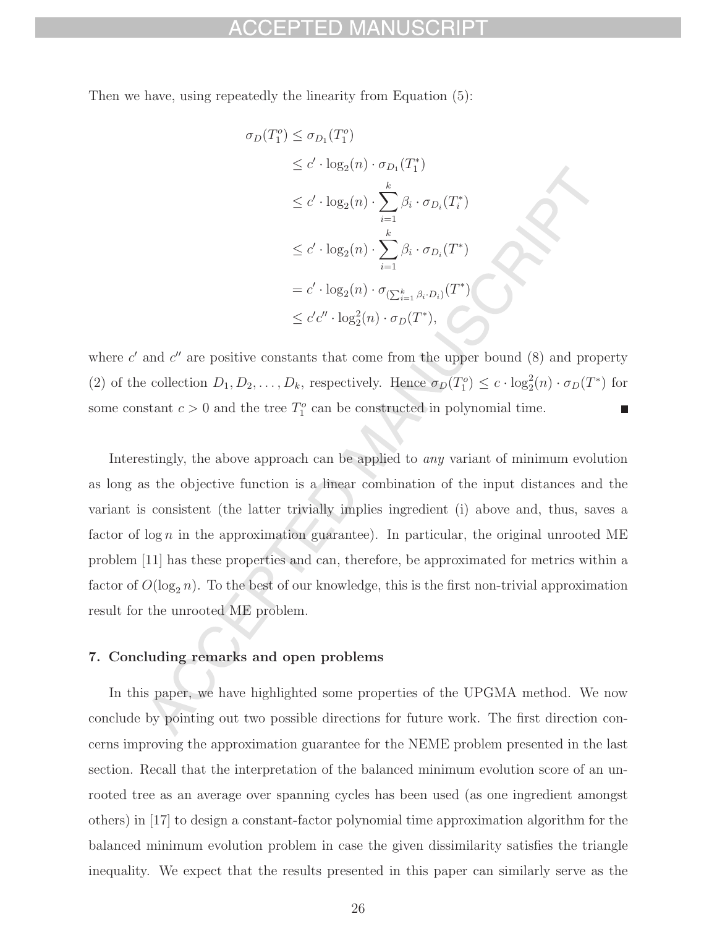Then we have, using repeatedly the linearity from Equation (5):

$$
\sigma_D(T_1^o) \leq \sigma_{D_1}(T_1^o)
$$
  
\n
$$
\leq c' \cdot \log_2(n) \cdot \sigma_{D_1}(T_1^*)
$$
  
\n
$$
\leq c' \cdot \log_2(n) \cdot \sum_{i=1}^k \beta_i \cdot \sigma_{D_i}(T_i^*)
$$
  
\n
$$
\leq c' \cdot \log_2(n) \cdot \sum_{i=1}^k \beta_i \cdot \sigma_{D_i}(T^*)
$$
  
\n
$$
= c' \cdot \log_2(n) \cdot \sigma_{(\sum_{i=1}^k \beta_i \cdot D_i)}(T^*)
$$
  
\n
$$
\leq c'c'' \cdot \log_2^2(n) \cdot \sigma_D(T^*),
$$

where  $c'$  and  $c''$  are positive constants that come from the upper bound  $(8)$  and property (2) of the collection  $D_1, D_2, \ldots, D_k$ , respectively. Hence  $\sigma_D(T_1^o) \leq c \cdot \log_2^2(n) \cdot \sigma_D(T^*)$  for some constant  $c > 0$  and the tree  $T_1^o$  can be constructed in polynomial time. П

Interestingly, the above approach can be applied to any variant of minimum evolution as long as the objective function is a linear combination of the input distances and the variant is consistent (the latter trivially implies ingredient (i) above and, thus, saves a factor of  $\log n$  in the approximation guarantee). In particular, the original unrooted ME problem [11] has these properties and can, therefore, be approximated for metrics within a factor of  $O(\log_2 n)$ . To the best of our knowledge, this is the first non-trivial approximation result for the unrooted ME problem.

## **7. Concluding remarks and open problems**

In this paper, we have highlighted some properties of the UPGMA method. We now conclude by pointing out two possible directions for future work. The first direction concerns improving the approximation guarantee for the NEME problem presented in the last section. Recall that the interpretation of the balanced minimum evolution score of an unrooted tree as an average over spanning cycles has been used (as one ingredient amongst others) in [17] to design a constant-factor polynomial time approximation algorithm for the balanced minimum evolution problem in case the given dissimilarity satisfies the triangle inequality. We expect that the results presented in this paper can similarly serve as the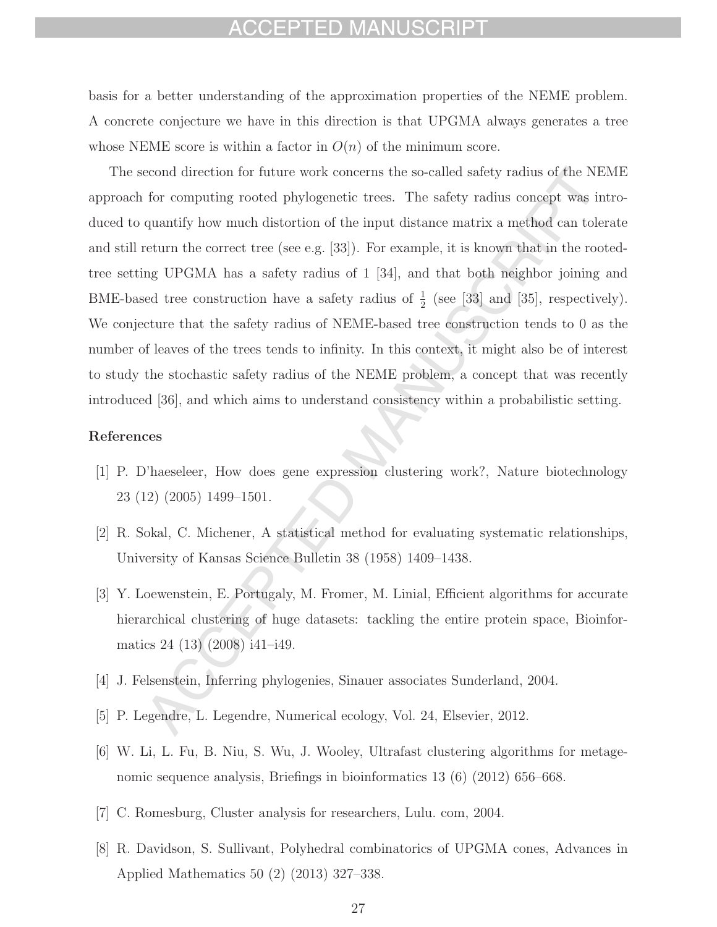## CEPTED MANUSCRIPT

basis for a better understanding of the approximation properties of the NEME problem. A concrete conjecture we have in this direction is that UPGMA always generates a tree whose NEME score is within a factor in  $O(n)$  of the minimum score.

The second direction for future work concerns the so-called safety radius of the NEME approach for computing rooted phylogenetic trees. The safety radius concept was introduced to quantify how much distortion of the input distance matrix a method can tolerate and still return the correct tree (see e.g. [33]). For example, it is known that in the rootedtree setting UPGMA has a safety radius of 1 [34], and that both neighbor joining and BME-based tree construction have a safety radius of  $\frac{1}{2}$  (see [33] and [35], respectively). We conjecture that the safety radius of NEME-based tree construction tends to 0 as the number of leaves of the trees tends to infinity. In this context, it might also be of interest to study the stochastic safety radius of the NEME problem, a concept that was recently introduced [36], and which aims to understand consistency within a probabilistic setting.

### **References**

- [1] P. D'haeseleer, How does gene expression clustering work?, Nature biotechnology 23 (12) (2005) 1499–1501.
- [2] R. Sokal, C. Michener, A statistical method for evaluating systematic relationships, University of Kansas Science Bulletin 38 (1958) 1409–1438.
- [3] Y. Loewenstein, E. Portugaly, M. Fromer, M. Linial, Efficient algorithms for accurate hierarchical clustering of huge datasets: tackling the entire protein space, Bioinformatics 24 (13) (2008) i41–i49.
- [4] J. Felsenstein, Inferring phylogenies, Sinauer associates Sunderland, 2004.
- [5] P. Legendre, L. Legendre, Numerical ecology, Vol. 24, Elsevier, 2012.
- [6] W. Li, L. Fu, B. Niu, S. Wu, J. Wooley, Ultrafast clustering algorithms for metagenomic sequence analysis, Briefings in bioinformatics 13 (6) (2012) 656–668.
- [7] C. Romesburg, Cluster analysis for researchers, Lulu. com, 2004.
- [8] R. Davidson, S. Sullivant, Polyhedral combinatorics of UPGMA cones, Advances in Applied Mathematics 50 (2) (2013) 327–338.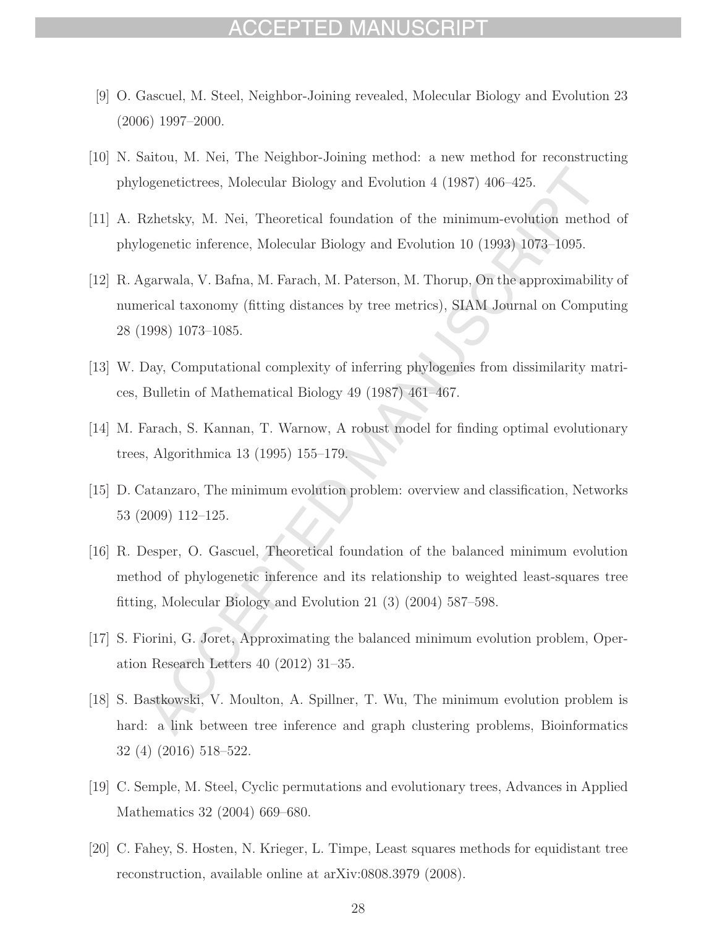## CCEPTED MAN

- [9] O. Gascuel, M. Steel, Neighbor-Joining revealed, Molecular Biology and Evolution 23 (2006) 1997–2000.
- [10] N. Saitou, M. Nei, The Neighbor-Joining method: a new method for reconstructing phylogenetictrees, Molecular Biology and Evolution 4 (1987) 406–425.
- [11] A. Rzhetsky, M. Nei, Theoretical foundation of the minimum-evolution method of phylogenetic inference, Molecular Biology and Evolution 10 (1993) 1073–1095.
- [12] R. Agarwala, V. Bafna, M. Farach, M. Paterson, M. Thorup, On the approximability of numerical taxonomy (fitting distances by tree metrics), SIAM Journal on Computing 28 (1998) 1073–1085.
- [13] W. Day, Computational complexity of inferring phylogenies from dissimilarity matrices, Bulletin of Mathematical Biology 49 (1987) 461–467.
- [14] M. Farach, S. Kannan, T. Warnow, A robust model for finding optimal evolutionary trees, Algorithmica 13 (1995) 155–179.
- [15] D. Catanzaro, The minimum evolution problem: overview and classification, Networks 53 (2009) 112–125.
- [16] R. Desper, O. Gascuel, Theoretical foundation of the balanced minimum evolution method of phylogenetic inference and its relationship to weighted least-squares tree fitting, Molecular Biology and Evolution 21 (3) (2004) 587–598.
- [17] S. Fiorini, G. Joret, Approximating the balanced minimum evolution problem, Operation Research Letters 40 (2012) 31–35.
- [18] S. Bastkowski, V. Moulton, A. Spillner, T. Wu, The minimum evolution problem is hard: a link between tree inference and graph clustering problems, Bioinformatics 32 (4) (2016) 518–522.
- [19] C. Semple, M. Steel, Cyclic permutations and evolutionary trees, Advances in Applied Mathematics 32 (2004) 669–680.
- [20] C. Fahey, S. Hosten, N. Krieger, L. Timpe, Least squares methods for equidistant tree reconstruction, available online at arXiv:0808.3979 (2008).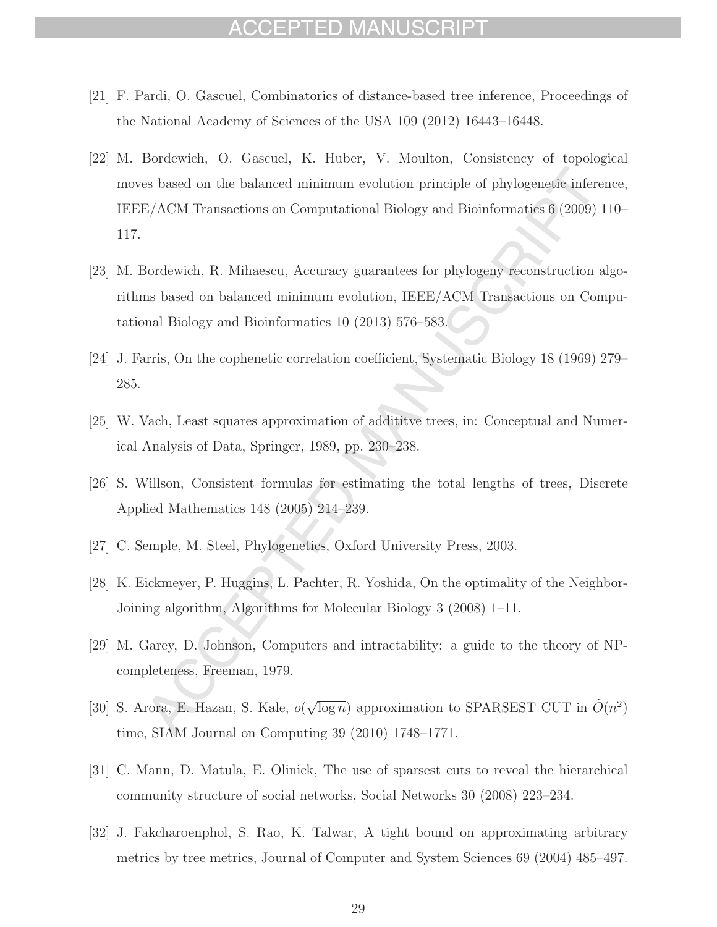## CCEPTED MANUSCRIPT

- [21] F. Pardi, O. Gascuel, Combinatorics of distance-based tree inference, Proceedings of the National Academy of Sciences of the USA 109 (2012) 16443–16448.
- [22] M. Bordewich, O. Gascuel, K. Huber, V. Moulton, Consistency of topological moves based on the balanced minimum evolution principle of phylogenetic inference, IEEE/ACM Transactions on Computational Biology and Bioinformatics 6 (2009) 110– 117.
- [23] M. Bordewich, R. Mihaescu, Accuracy guarantees for phylogeny reconstruction algorithms based on balanced minimum evolution, IEEE/ACM Transactions on Computational Biology and Bioinformatics 10 (2013) 576–583.
- [24] J. Farris, On the cophenetic correlation coefficient, Systematic Biology 18 (1969) 279– 285.
- [25] W. Vach, Least squares approximation of addititve trees, in: Conceptual and Numerical Analysis of Data, Springer, 1989, pp. 230–238.
- [26] S. Willson, Consistent formulas for estimating the total lengths of trees, Discrete Applied Mathematics 148 (2005) 214–239.
- [27] C. Semple, M. Steel, Phylogenetics, Oxford University Press, 2003.
- [28] K. Eickmeyer, P. Huggins, L. Pachter, R. Yoshida, On the optimality of the Neighbor-Joining algorithm, Algorithms for Molecular Biology 3 (2008) 1–11.
- [29] M. Garey, D. Johnson, Computers and intractability: a guide to the theory of NPcompleteness, Freeman, 1979.
- [30] S. Arora, E. Hazan, S. Kale,  $o(\sqrt{\log n})$  approximation to SPARSEST CUT in  $\tilde{O}(n^2)$ time, SIAM Journal on Computing 39 (2010) 1748–1771.
- [31] C. Mann, D. Matula, E. Olinick, The use of sparsest cuts to reveal the hierarchical community structure of social networks, Social Networks 30 (2008) 223–234.
- [32] J. Fakcharoenphol, S. Rao, K. Talwar, A tight bound on approximating arbitrary metrics by tree metrics, Journal of Computer and System Sciences 69 (2004) 485–497.